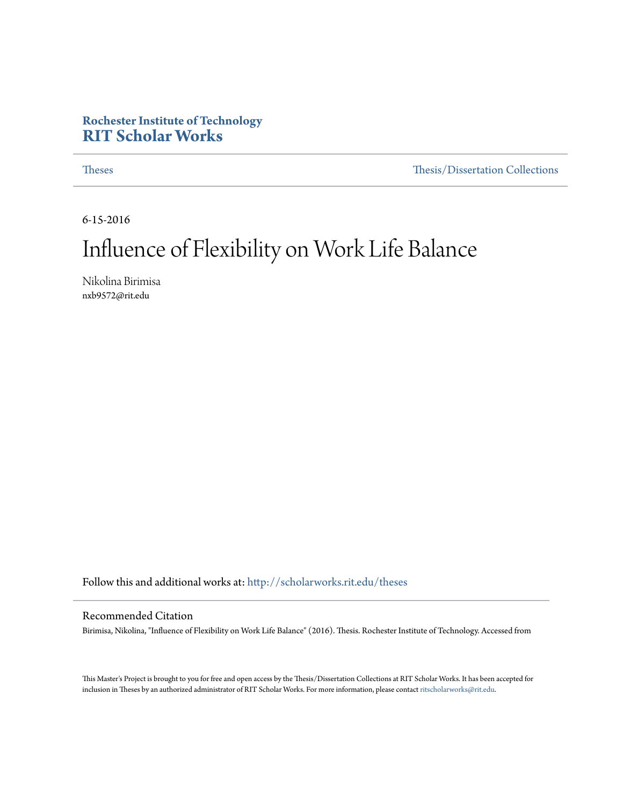#### **Rochester Institute of Technology [RIT Scholar Works](http://scholarworks.rit.edu?utm_source=scholarworks.rit.edu%2Ftheses%2F9368&utm_medium=PDF&utm_campaign=PDFCoverPages)**

[Theses](http://scholarworks.rit.edu/theses?utm_source=scholarworks.rit.edu%2Ftheses%2F9368&utm_medium=PDF&utm_campaign=PDFCoverPages) [Thesis/Dissertation Collections](http://scholarworks.rit.edu/etd_collections?utm_source=scholarworks.rit.edu%2Ftheses%2F9368&utm_medium=PDF&utm_campaign=PDFCoverPages)

6-15-2016

## Influence of Flexibility on Work Life Balance

Nikolina Birimisa nxb9572@rit.edu

Follow this and additional works at: [http://scholarworks.rit.edu/theses](http://scholarworks.rit.edu/theses?utm_source=scholarworks.rit.edu%2Ftheses%2F9368&utm_medium=PDF&utm_campaign=PDFCoverPages)

#### Recommended Citation

Birimisa, Nikolina, "Influence of Flexibility on Work Life Balance" (2016). Thesis. Rochester Institute of Technology. Accessed from

This Master's Project is brought to you for free and open access by the Thesis/Dissertation Collections at RIT Scholar Works. It has been accepted for inclusion in Theses by an authorized administrator of RIT Scholar Works. For more information, please contact [ritscholarworks@rit.edu](mailto:ritscholarworks@rit.edu).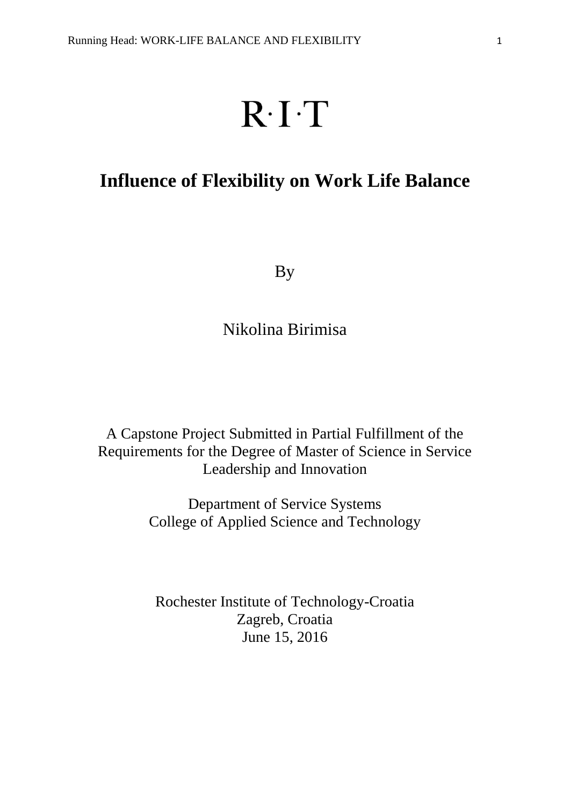# $R \cdot I \cdot T$

## **Influence of Flexibility on Work Life Balance**

By

Nikolina Birimisa

A Capstone Project Submitted in Partial Fulfillment of the Requirements for the Degree of Master of Science in Service Leadership and Innovation

> Department of Service Systems College of Applied Science and Technology

Rochester Institute of Technology-Croatia Zagreb, Croatia June 15, 2016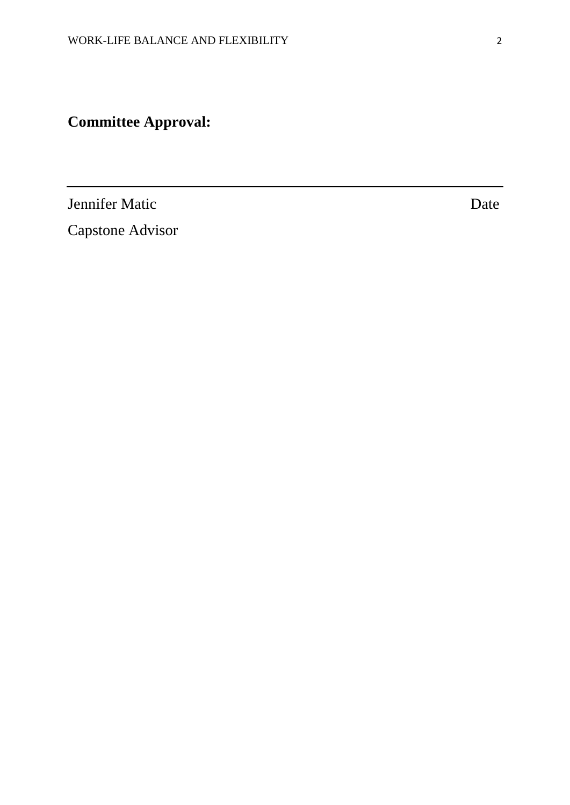**Committee Approval:**

Jennifer Matic Date

Capstone Advisor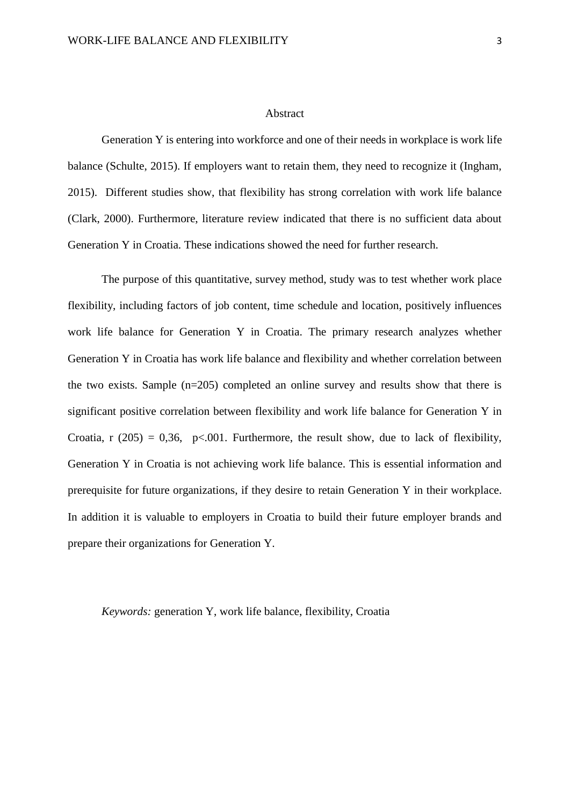#### Abstract

Generation Y is entering into workforce and one of their needs in workplace is work life balance (Schulte, 2015). If employers want to retain them, they need to recognize it (Ingham, 2015). Different studies show, that flexibility has strong correlation with work life balance (Clark, 2000). Furthermore, literature review indicated that there is no sufficient data about Generation Y in Croatia. These indications showed the need for further research.

The purpose of this quantitative, survey method, study was to test whether work place flexibility, including factors of job content, time schedule and location, positively influences work life balance for Generation Y in Croatia. The primary research analyzes whether Generation Y in Croatia has work life balance and flexibility and whether correlation between the two exists. Sample (n=205) completed an online survey and results show that there is significant positive correlation between flexibility and work life balance for Generation Y in Croatia, r (205) = 0,36, p<.001. Furthermore, the result show, due to lack of flexibility, Generation Y in Croatia is not achieving work life balance. This is essential information and prerequisite for future organizations, if they desire to retain Generation Y in their workplace. In addition it is valuable to employers in Croatia to build their future employer brands and prepare their organizations for Generation Y.

*Keywords:* generation Y, work life balance, flexibility, Croatia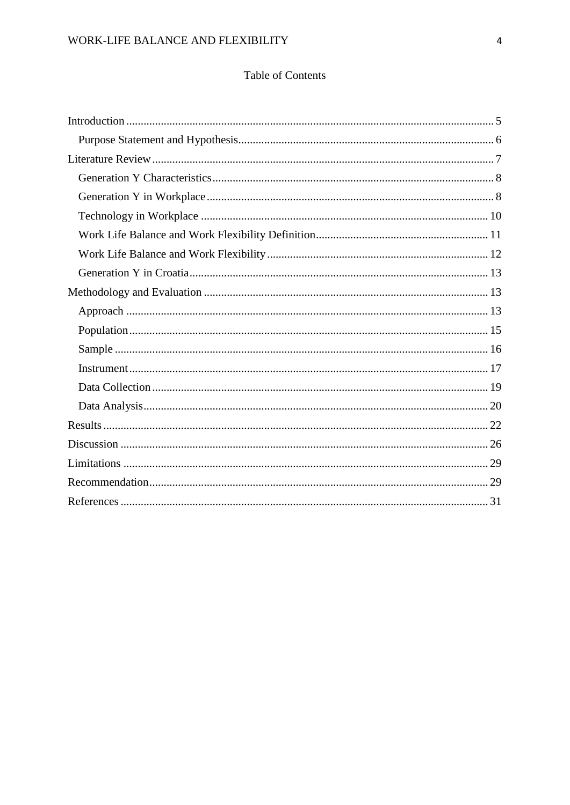### Table of Contents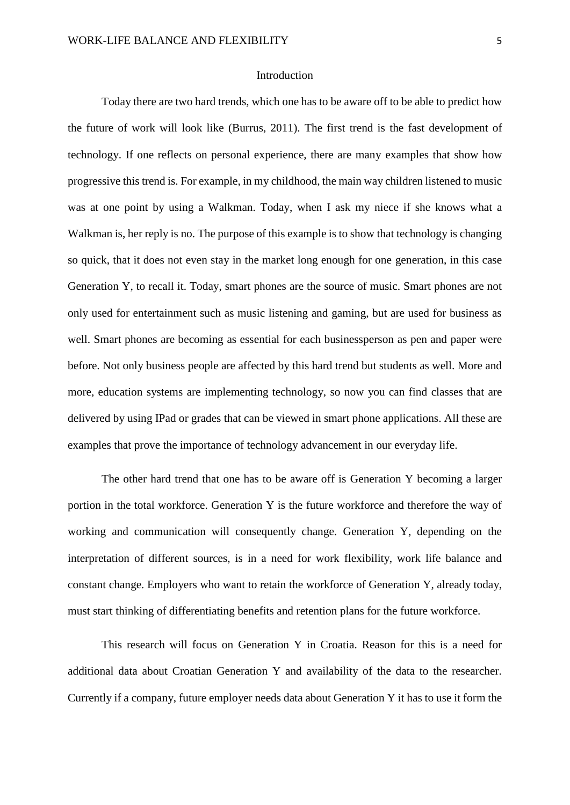#### Introduction

<span id="page-5-0"></span>Today there are two hard trends, which one has to be aware off to be able to predict how the future of work will look like (Burrus, 2011). The first trend is the fast development of technology. If one reflects on personal experience, there are many examples that show how progressive this trend is. For example, in my childhood, the main way children listened to music was at one point by using a Walkman. Today, when I ask my niece if she knows what a Walkman is, her reply is no. The purpose of this example is to show that technology is changing so quick, that it does not even stay in the market long enough for one generation, in this case Generation Y, to recall it. Today, smart phones are the source of music. Smart phones are not only used for entertainment such as music listening and gaming, but are used for business as well. Smart phones are becoming as essential for each businessperson as pen and paper were before. Not only business people are affected by this hard trend but students as well. More and more, education systems are implementing technology, so now you can find classes that are delivered by using IPad or grades that can be viewed in smart phone applications. All these are examples that prove the importance of technology advancement in our everyday life.

The other hard trend that one has to be aware off is Generation Y becoming a larger portion in the total workforce. Generation Y is the future workforce and therefore the way of working and communication will consequently change. Generation Y, depending on the interpretation of different sources, is in a need for work flexibility, work life balance and constant change. Employers who want to retain the workforce of Generation Y, already today, must start thinking of differentiating benefits and retention plans for the future workforce.

This research will focus on Generation Y in Croatia. Reason for this is a need for additional data about Croatian Generation Y and availability of the data to the researcher. Currently if a company, future employer needs data about Generation Y it has to use it form the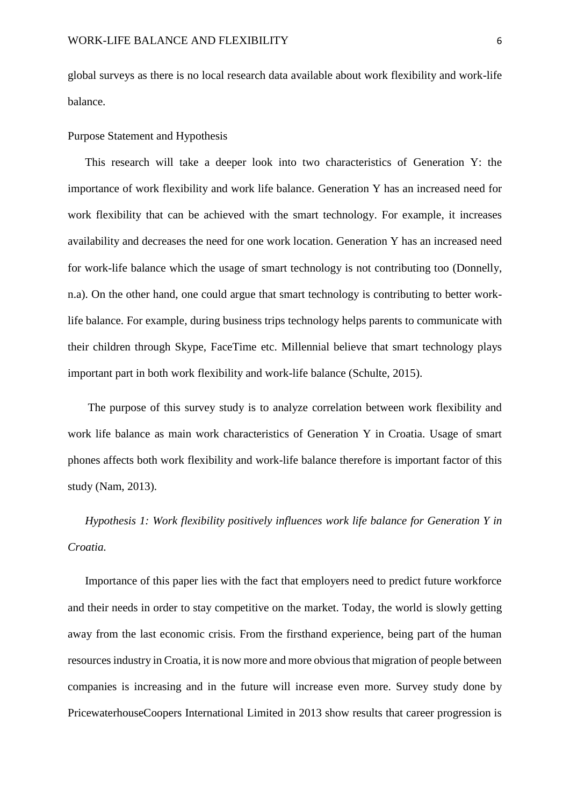global surveys as there is no local research data available about work flexibility and work-life balance.

<span id="page-6-0"></span>Purpose Statement and Hypothesis

This research will take a deeper look into two characteristics of Generation Y: the importance of work flexibility and work life balance. Generation Y has an increased need for work flexibility that can be achieved with the smart technology. For example, it increases availability and decreases the need for one work location. Generation Y has an increased need for work-life balance which the usage of smart technology is not contributing too (Donnelly, n.a). On the other hand, one could argue that smart technology is contributing to better worklife balance. For example, during business trips technology helps parents to communicate with their children through Skype, FaceTime etc. Millennial believe that smart technology plays important part in both work flexibility and work-life balance (Schulte, 2015).

The purpose of this survey study is to analyze correlation between work flexibility and work life balance as main work characteristics of Generation Y in Croatia. Usage of smart phones affects both work flexibility and work-life balance therefore is important factor of this study (Nam, 2013).

*Hypothesis 1: Work flexibility positively influences work life balance for Generation Y in Croatia.*

Importance of this paper lies with the fact that employers need to predict future workforce and their needs in order to stay competitive on the market. Today, the world is slowly getting away from the last economic crisis. From the firsthand experience, being part of the human resources industry in Croatia, it is now more and more obvious that migration of people between companies is increasing and in the future will increase even more. Survey study done by PricewaterhouseCoopers International Limited in 2013 show results that career progression is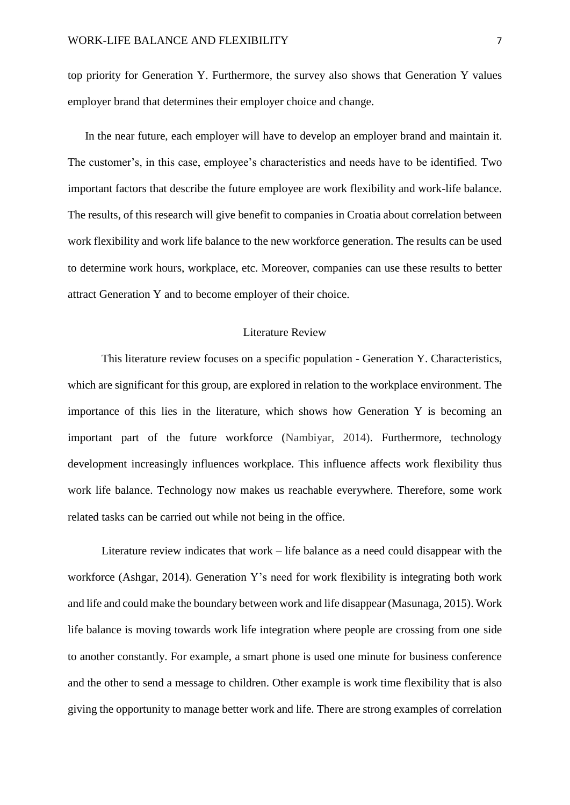top priority for Generation Y. Furthermore, the survey also shows that Generation Y values employer brand that determines their employer choice and change.

In the near future, each employer will have to develop an employer brand and maintain it. The customer's, in this case, employee's characteristics and needs have to be identified. Two important factors that describe the future employee are work flexibility and work-life balance. The results, of this research will give benefit to companies in Croatia about correlation between work flexibility and work life balance to the new workforce generation. The results can be used to determine work hours, workplace, etc. Moreover, companies can use these results to better attract Generation Y and to become employer of their choice.

#### Literature Review

<span id="page-7-0"></span>This literature review focuses on a specific population - Generation Y. Characteristics, which are significant for this group, are explored in relation to the workplace environment. The importance of this lies in the literature, which shows how Generation Y is becoming an important part of the future workforce (Nambiyar, 2014). Furthermore, technology development increasingly influences workplace. This influence affects work flexibility thus work life balance. Technology now makes us reachable everywhere. Therefore, some work related tasks can be carried out while not being in the office.

Literature review indicates that work – life balance as a need could disappear with the workforce (Ashgar, 2014). Generation Y's need for work flexibility is integrating both work and life and could make the boundary between work and life disappear (Masunaga, 2015). Work life balance is moving towards work life integration where people are crossing from one side to another constantly. For example, a smart phone is used one minute for business conference and the other to send a message to children. Other example is work time flexibility that is also giving the opportunity to manage better work and life. There are strong examples of correlation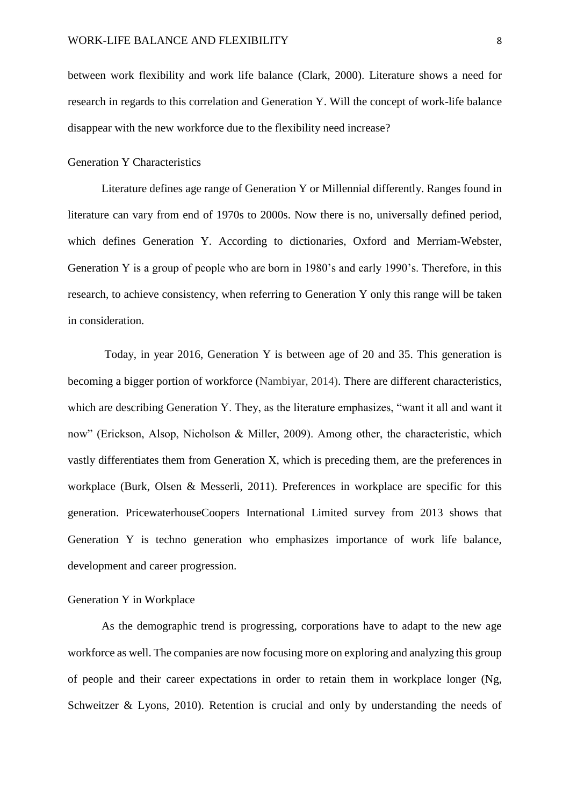between work flexibility and work life balance (Clark, 2000). Literature shows a need for research in regards to this correlation and Generation Y. Will the concept of work-life balance disappear with the new workforce due to the flexibility need increase?

#### <span id="page-8-0"></span>Generation Y Characteristics

Literature defines age range of Generation Y or Millennial differently. Ranges found in literature can vary from end of 1970s to 2000s. Now there is no, universally defined period, which defines Generation Y. According to dictionaries, Oxford and Merriam-Webster, Generation Y is a group of people who are born in 1980's and early 1990's. Therefore, in this research, to achieve consistency, when referring to Generation Y only this range will be taken in consideration.

Today, in year 2016, Generation Y is between age of 20 and 35. This generation is becoming a bigger portion of workforce (Nambiyar, 2014). There are different characteristics, which are describing Generation Y. They, as the literature emphasizes, "want it all and want it now" (Erickson, Alsop, Nicholson & Miller, 2009). Among other, the characteristic, which vastly differentiates them from Generation X, which is preceding them, are the preferences in workplace (Burk, Olsen & Messerli, 2011). Preferences in workplace are specific for this generation. PricewaterhouseCoopers International Limited survey from 2013 shows that Generation Y is techno generation who emphasizes importance of work life balance, development and career progression.

#### <span id="page-8-1"></span>Generation Y in Workplace

As the demographic trend is progressing, corporations have to adapt to the new age workforce as well. The companies are now focusing more on exploring and analyzing this group of people and their career expectations in order to retain them in workplace longer (Ng, Schweitzer & Lyons, 2010). Retention is crucial and only by understanding the needs of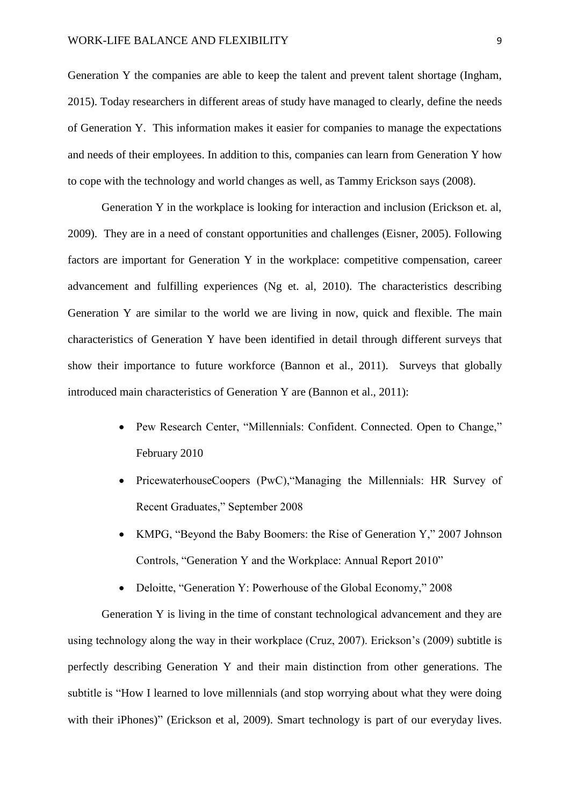Generation Y the companies are able to keep the talent and prevent talent shortage (Ingham, 2015). Today researchers in different areas of study have managed to clearly, define the needs of Generation Y. This information makes it easier for companies to manage the expectations and needs of their employees. In addition to this, companies can learn from Generation Y how to cope with the technology and world changes as well, as Tammy Erickson says (2008).

Generation Y in the workplace is looking for interaction and inclusion (Erickson et. al, 2009). They are in a need of constant opportunities and challenges (Eisner, 2005). Following factors are important for Generation Y in the workplace: competitive compensation, career advancement and fulfilling experiences (Ng et. al, 2010). The characteristics describing Generation Y are similar to the world we are living in now, quick and flexible. The main characteristics of Generation Y have been identified in detail through different surveys that show their importance to future workforce (Bannon et al., 2011). Surveys that globally introduced main characteristics of Generation Y are (Bannon et al., 2011):

- Pew Research Center, "Millennials: Confident. Connected. Open to Change," February 2010
- PricewaterhouseCoopers (PwC), "Managing the Millennials: HR Survey of Recent Graduates," September 2008
- KMPG, "Beyond the Baby Boomers: the Rise of Generation Y," 2007 Johnson Controls, "Generation Y and the Workplace: Annual Report 2010"
- Deloitte, "Generation Y: Powerhouse of the Global Economy," 2008

Generation Y is living in the time of constant technological advancement and they are using technology along the way in their workplace (Cruz, 2007). Erickson's (2009) subtitle is perfectly describing Generation Y and their main distinction from other generations. The subtitle is "How I learned to love millennials (and stop worrying about what they were doing with their iPhones)" (Erickson et al, 2009). Smart technology is part of our everyday lives.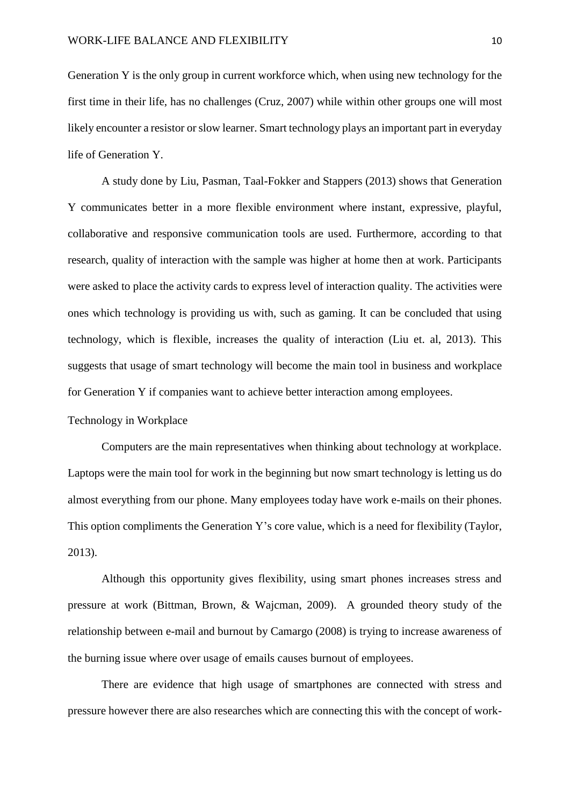Generation Y is the only group in current workforce which, when using new technology for the first time in their life, has no challenges (Cruz, 2007) while within other groups one will most likely encounter a resistor or slow learner. Smart technology plays an important part in everyday life of Generation Y.

A study done by Liu, Pasman, Taal-Fokker and Stappers (2013) shows that Generation Y communicates better in a more flexible environment where instant, expressive, playful, collaborative and responsive communication tools are used. Furthermore, according to that research, quality of interaction with the sample was higher at home then at work. Participants were asked to place the activity cards to express level of interaction quality. The activities were ones which technology is providing us with, such as gaming. It can be concluded that using technology, which is flexible, increases the quality of interaction (Liu et. al, 2013). This suggests that usage of smart technology will become the main tool in business and workplace for Generation Y if companies want to achieve better interaction among employees.

#### <span id="page-10-0"></span>Technology in Workplace

Computers are the main representatives when thinking about technology at workplace. Laptops were the main tool for work in the beginning but now smart technology is letting us do almost everything from our phone. Many employees today have work e-mails on their phones. This option compliments the Generation Y's core value, which is a need for flexibility (Taylor, 2013).

Although this opportunity gives flexibility, using smart phones increases stress and pressure at work (Bittman, Brown, & Wajcman, 2009). A grounded theory study of the relationship between e-mail and burnout by Camargo (2008) is trying to increase awareness of the burning issue where over usage of emails causes burnout of employees.

There are evidence that high usage of smartphones are connected with stress and pressure however there are also researches which are connecting this with the concept of work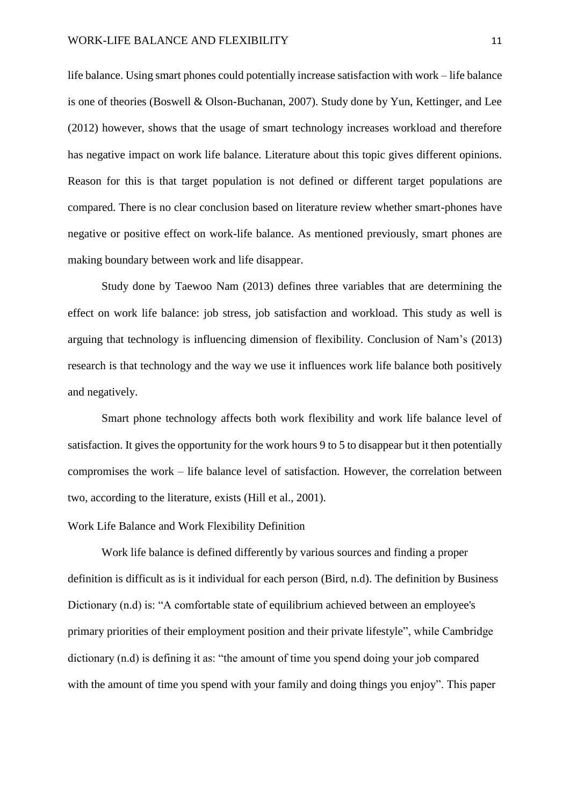life balance. Using smart phones could potentially increase satisfaction with work – life balance is one of theories (Boswell & Olson-Buchanan, 2007). Study done by Yun, Kettinger, and Lee (2012) however, shows that the usage of smart technology increases workload and therefore has negative impact on work life balance. Literature about this topic gives different opinions. Reason for this is that target population is not defined or different target populations are compared. There is no clear conclusion based on literature review whether smart-phones have negative or positive effect on work-life balance. As mentioned previously, smart phones are making boundary between work and life disappear.

Study done by Taewoo Nam (2013) defines three variables that are determining the effect on work life balance: job stress, job satisfaction and workload. This study as well is arguing that technology is influencing dimension of flexibility. Conclusion of Nam's (2013) research is that technology and the way we use it influences work life balance both positively and negatively.

Smart phone technology affects both work flexibility and work life balance level of satisfaction. It gives the opportunity for the work hours 9 to 5 to disappear but it then potentially compromises the work – life balance level of satisfaction. However, the correlation between two, according to the literature, exists (Hill et al., 2001).

#### <span id="page-11-0"></span>Work Life Balance and Work Flexibility Definition

Work life balance is defined differently by various sources and finding a proper definition is difficult as is it individual for each person (Bird, n.d). The definition by Business Dictionary (n.d) is: "A comfortable state of [equilibrium](http://www.businessdictionary.com/definition/equilibrium.html) achieved between an [employee's](http://www.businessdictionary.com/definition/employee.html) [primary](http://www.businessdictionary.com/definition/primary.html) [priorities](http://www.businessdictionary.com/definition/priority.html) of their [employment](http://www.businessdictionary.com/definition/employment.html) [position](http://www.businessdictionary.com/definition/position.html) and their private [lifestyle"](http://www.businessdictionary.com/definition/lifestyle.html), while Cambridge dictionary (n.d) is defining it as: "the amount of time you spend doing your job compared with the amount of time you spend with your family and doing things you enjoy". This paper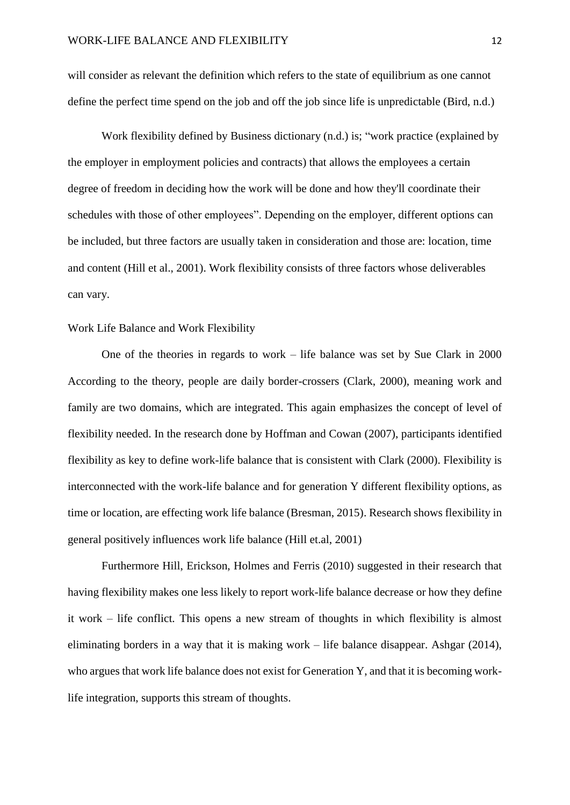will consider as relevant the definition which refers to the state of equilibrium as one cannot define the perfect time spend on the job and off the job since life is unpredictable (Bird, n.d.)

Work flexibility defined by Business dictionary (n.d.) is; ["work](http://www.businessdictionary.com/definition/work.html) [practice](http://www.businessdictionary.com/definition/practice.html) (explained by the [employer](http://www.businessdictionary.com/definition/employer.html) in [employment](http://www.businessdictionary.com/definition/employment.html) [policies](http://www.businessdictionary.com/definition/policies-and-procedures.html) and [contracts\)](http://www.businessdictionary.com/definition/contract.html) that allows the [employees](http://www.businessdictionary.com/definition/employee.html) a certain [degree](http://www.businessdictionary.com/definition/degree.html) of [freedom](http://www.businessdictionary.com/definition/freedom.html) in deciding how the work will be done and how they'll coordinate their [schedules](http://www.businessdictionary.com/definition/schedule.html) with those of other employees". Depending on the employer, different options can be included, but three factors are usually taken in consideration and those are: location, time and content (Hill et al., 2001). Work flexibility consists of three factors whose deliverables can vary.

#### <span id="page-12-0"></span>Work Life Balance and Work Flexibility

One of the theories in regards to work – life balance was set by Sue Clark in 2000 According to the theory, people are daily border-crossers (Clark, 2000), meaning work and family are two domains, which are integrated. This again emphasizes the concept of level of flexibility needed. In the research done by Hoffman and Cowan (2007), participants identified flexibility as key to define work-life balance that is consistent with Clark (2000). Flexibility is interconnected with the work-life balance and for generation Y different flexibility options, as time or location, are effecting work life balance (Bresman, 2015). Research shows flexibility in general positively influences work life balance (Hill et.al, 2001)

Furthermore Hill, Erickson, Holmes and Ferris (2010) suggested in their research that having flexibility makes one less likely to report work-life balance decrease or how they define it work – life conflict. This opens a new stream of thoughts in which flexibility is almost eliminating borders in a way that it is making work – life balance disappear. Ashgar (2014), who argues that work life balance does not exist for Generation Y, and that it is becoming worklife integration, supports this stream of thoughts.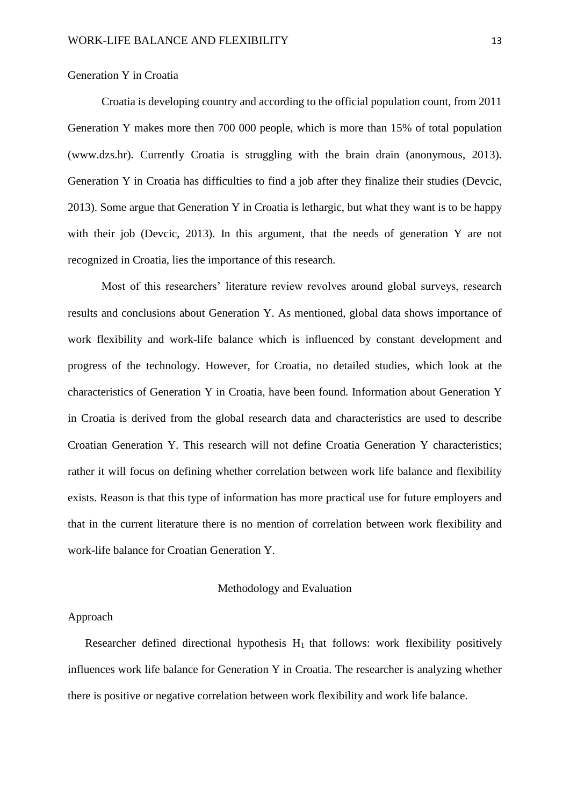#### <span id="page-13-0"></span>Generation Y in Croatia

Croatia is developing country and according to the official population count, from 2011 Generation Y makes more then 700 000 people, which is more than 15% of total population (www.dzs.hr). Currently Croatia is struggling with the brain drain (anonymous, 2013). Generation Y in Croatia has difficulties to find a job after they finalize their studies (Devcic, 2013). Some argue that Generation Y in Croatia is lethargic, but what they want is to be happy with their job (Devcic, 2013). In this argument, that the needs of generation  $Y$  are not recognized in Croatia, lies the importance of this research.

Most of this researchers' literature review revolves around global surveys, research results and conclusions about Generation Y. As mentioned, global data shows importance of work flexibility and work-life balance which is influenced by constant development and progress of the technology. However, for Croatia, no detailed studies, which look at the characteristics of Generation Y in Croatia, have been found. Information about Generation Y in Croatia is derived from the global research data and characteristics are used to describe Croatian Generation Y. This research will not define Croatia Generation Y characteristics; rather it will focus on defining whether correlation between work life balance and flexibility exists. Reason is that this type of information has more practical use for future employers and that in the current literature there is no mention of correlation between work flexibility and work-life balance for Croatian Generation Y.

#### Methodology and Evaluation

#### <span id="page-13-2"></span><span id="page-13-1"></span>Approach

Researcher defined directional hypothesis  $H_1$  that follows: work flexibility positively influences work life balance for Generation Y in Croatia. The researcher is analyzing whether there is positive or negative correlation between work flexibility and work life balance.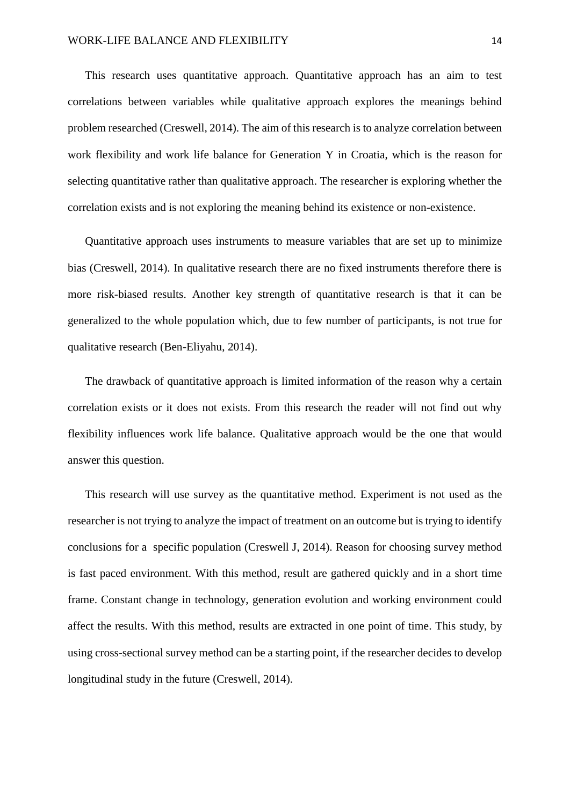This research uses quantitative approach. Quantitative approach has an aim to test correlations between variables while qualitative approach explores the meanings behind problem researched (Creswell, 2014). The aim of this research is to analyze correlation between work flexibility and work life balance for Generation Y in Croatia, which is the reason for selecting quantitative rather than qualitative approach. The researcher is exploring whether the correlation exists and is not exploring the meaning behind its existence or non-existence.

Quantitative approach uses instruments to measure variables that are set up to minimize bias (Creswell, 2014). In qualitative research there are no fixed instruments therefore there is more risk-biased results. Another key strength of quantitative research is that it can be generalized to the whole population which, due to few number of participants, is not true for qualitative research (Ben-Eliyahu, 2014).

The drawback of quantitative approach is limited information of the reason why a certain correlation exists or it does not exists. From this research the reader will not find out why flexibility influences work life balance. Qualitative approach would be the one that would answer this question.

This research will use survey as the quantitative method. Experiment is not used as the researcher is not trying to analyze the impact of treatment on an outcome but is trying to identify conclusions for a specific population (Creswell J, 2014). Reason for choosing survey method is fast paced environment. With this method, result are gathered quickly and in a short time frame. Constant change in technology, generation evolution and working environment could affect the results. With this method, results are extracted in one point of time. This study, by using cross-sectional survey method can be a starting point, if the researcher decides to develop longitudinal study in the future (Creswell, 2014).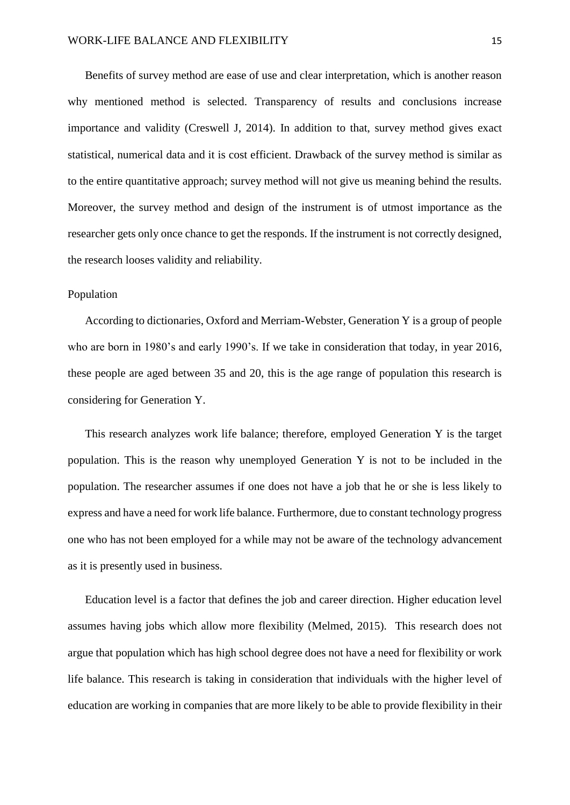Benefits of survey method are ease of use and clear interpretation, which is another reason why mentioned method is selected. Transparency of results and conclusions increase importance and validity (Creswell J, 2014). In addition to that, survey method gives exact statistical, numerical data and it is cost efficient. Drawback of the survey method is similar as to the entire quantitative approach; survey method will not give us meaning behind the results. Moreover, the survey method and design of the instrument is of utmost importance as the researcher gets only once chance to get the responds. If the instrument is not correctly designed, the research looses validity and reliability.

#### <span id="page-15-0"></span>Population

According to dictionaries, Oxford and Merriam-Webster, Generation Y is a group of people who are born in 1980's and early 1990's. If we take in consideration that today, in year 2016, these people are aged between 35 and 20, this is the age range of population this research is considering for Generation Y.

This research analyzes work life balance; therefore, employed Generation Y is the target population. This is the reason why unemployed Generation Y is not to be included in the population. The researcher assumes if one does not have a job that he or she is less likely to express and have a need for work life balance. Furthermore, due to constant technology progress one who has not been employed for a while may not be aware of the technology advancement as it is presently used in business.

Education level is a factor that defines the job and career direction. Higher education level assumes having jobs which allow more flexibility (Melmed, 2015). This research does not argue that population which has high school degree does not have a need for flexibility or work life balance. This research is taking in consideration that individuals with the higher level of education are working in companies that are more likely to be able to provide flexibility in their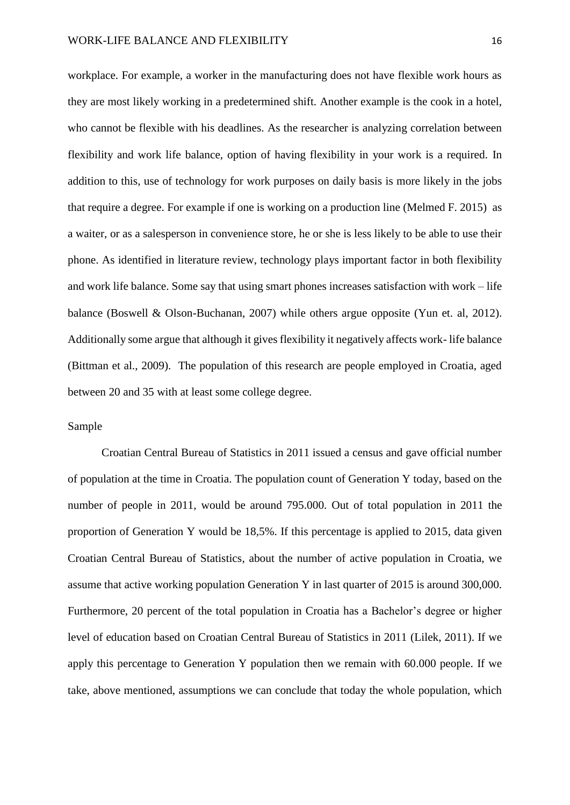workplace. For example, a worker in the manufacturing does not have flexible work hours as they are most likely working in a predetermined shift. Another example is the cook in a hotel, who cannot be flexible with his deadlines. As the researcher is analyzing correlation between flexibility and work life balance, option of having flexibility in your work is a required. In addition to this, use of technology for work purposes on daily basis is more likely in the jobs that require a degree. For example if one is working on a production line (Melmed F. 2015) as a waiter, or as a salesperson in convenience store, he or she is less likely to be able to use their phone. As identified in literature review, technology plays important factor in both flexibility and work life balance. Some say that using smart phones increases satisfaction with work – life balance (Boswell & Olson-Buchanan, 2007) while others argue opposite (Yun et. al, 2012). Additionally some argue that although it gives flexibility it negatively affects work- life balance (Bittman et al., 2009). The population of this research are people employed in Croatia, aged between 20 and 35 with at least some college degree.

#### <span id="page-16-0"></span>Sample

Croatian Central Bureau of Statistics in 2011 issued a census and gave official number of population at the time in Croatia. The population count of Generation Y today, based on the number of people in 2011, would be around 795.000. Out of total population in 2011 the proportion of Generation Y would be 18,5%. If this percentage is applied to 2015, data given Croatian Central Bureau of Statistics, about the number of active population in Croatia, we assume that active working population Generation Y in last quarter of 2015 is around 300,000. Furthermore, 20 percent of the total population in Croatia has a Bachelor's degree or higher level of education based on Croatian Central Bureau of Statistics in 2011 (Lilek, 2011). If we apply this percentage to Generation Y population then we remain with 60.000 people. If we take, above mentioned, assumptions we can conclude that today the whole population, which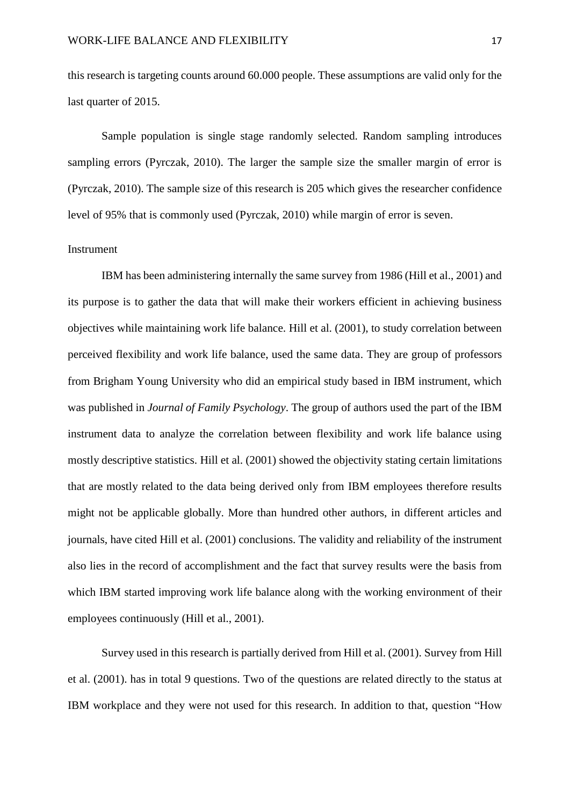this research is targeting counts around 60.000 people. These assumptions are valid only for the last quarter of 2015.

Sample population is single stage randomly selected. Random sampling introduces sampling errors (Pyrczak, 2010). The larger the sample size the smaller margin of error is (Pyrczak, 2010). The sample size of this research is 205 which gives the researcher confidence level of 95% that is commonly used (Pyrczak, 2010) while margin of error is seven.

#### <span id="page-17-0"></span>Instrument

IBM has been administering internally the same survey from 1986 (Hill et al., 2001) and its purpose is to gather the data that will make their workers efficient in achieving business objectives while maintaining work life balance. Hill et al. (2001), to study correlation between perceived flexibility and work life balance, used the same data. They are group of professors from Brigham Young University who did an empirical study based in IBM instrument, which was published in *[Journal of Family Psychology](javascript:__doLinkPostBack()*. The group of authors used the part of the IBM instrument data to analyze the correlation between flexibility and work life balance using mostly descriptive statistics. Hill et al. (2001) showed the objectivity stating certain limitations that are mostly related to the data being derived only from IBM employees therefore results might not be applicable globally. More than hundred other authors, in different articles and journals, have cited Hill et al. (2001) conclusions. The validity and reliability of the instrument also lies in the record of accomplishment and the fact that survey results were the basis from which IBM started improving work life balance along with the working environment of their employees continuously (Hill et al., 2001).

Survey used in this research is partially derived from Hill et al. (2001). Survey from Hill et al. (2001). has in total 9 questions. Two of the questions are related directly to the status at IBM workplace and they were not used for this research. In addition to that, question "How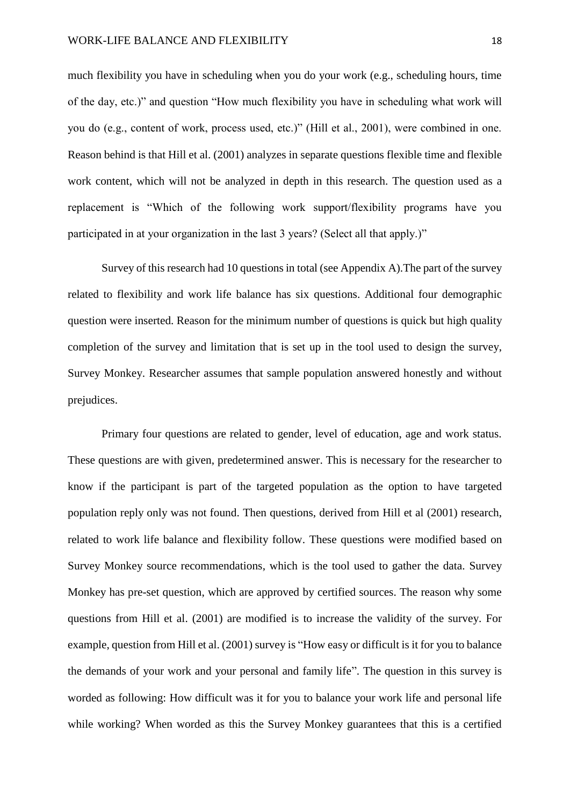much flexibility you have in scheduling when you do your work (e.g., scheduling hours, time of the day, etc.)" and question "How much flexibility you have in scheduling what work will you do (e.g., content of work, process used, etc.)" (Hill et al., 2001), were combined in one. Reason behind is that Hill et al. (2001) analyzes in separate questions flexible time and flexible work content, which will not be analyzed in depth in this research. The question used as a replacement is "Which of the following work support/flexibility programs have you participated in at your organization in the last 3 years? (Select all that apply.)"

Survey of this research had 10 questions in total (see Appendix A).The part of the survey related to flexibility and work life balance has six questions. Additional four demographic question were inserted. Reason for the minimum number of questions is quick but high quality completion of the survey and limitation that is set up in the tool used to design the survey, Survey Monkey. Researcher assumes that sample population answered honestly and without prejudices.

Primary four questions are related to gender, level of education, age and work status. These questions are with given, predetermined answer. This is necessary for the researcher to know if the participant is part of the targeted population as the option to have targeted population reply only was not found. Then questions, derived from Hill et al (2001) research, related to work life balance and flexibility follow. These questions were modified based on Survey Monkey source recommendations, which is the tool used to gather the data. Survey Monkey has pre-set question, which are approved by certified sources. The reason why some questions from Hill et al. (2001) are modified is to increase the validity of the survey. For example, question from Hill et al. (2001) survey is "How easy or difficult is it for you to balance the demands of your work and your personal and family life". The question in this survey is worded as following: How difficult was it for you to balance your work life and personal life while working? When worded as this the Survey Monkey guarantees that this is a certified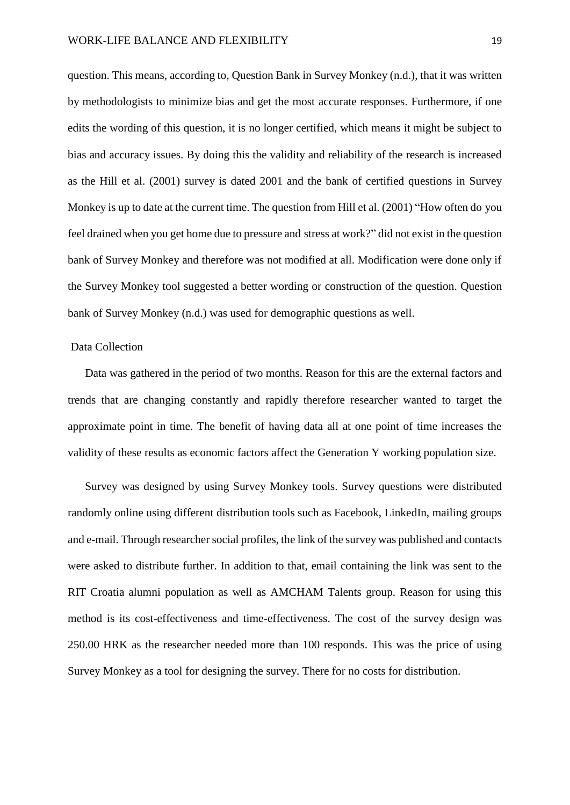question. This means, according to, Question Bank in Survey Monkey (n.d.), that it was written by methodologists to minimize bias and get the most accurate responses. Furthermore, if one edits the wording of this question, it is no longer certified, which means it might be subject to bias and accuracy issues. By doing this the validity and reliability of the research is increased as the Hill et al. (2001) survey is dated 2001 and the bank of certified questions in Survey Monkey is up to date at the current time. The question from Hill et al. (2001) "How often do you feel drained when you get home due to pressure and stress at work?" did not exist in the question bank of Survey Monkey and therefore was not modified at all. Modification were done only if the Survey Monkey tool suggested a better wording or construction of the question. Question bank of Survey Monkey (n.d.) was used for demographic questions as well.

#### <span id="page-19-0"></span>Data Collection

Data was gathered in the period of two months. Reason for this are the external factors and trends that are changing constantly and rapidly therefore researcher wanted to target the approximate point in time. The benefit of having data all at one point of time increases the validity of these results as economic factors affect the Generation Y working population size.

Survey was designed by using Survey Monkey tools. Survey questions were distributed randomly online using different distribution tools such as Facebook, LinkedIn, mailing groups and e-mail. Through researcher social profiles, the link of the survey was published and contacts were asked to distribute further. In addition to that, email containing the link was sent to the RIT Croatia alumni population as well as AMCHAM Talents group. Reason for using this method is its cost-effectiveness and time-effectiveness. The cost of the survey design was 250.00 HRK as the researcher needed more than 100 responds. This was the price of using Survey Monkey as a tool for designing the survey. There for no costs for distribution.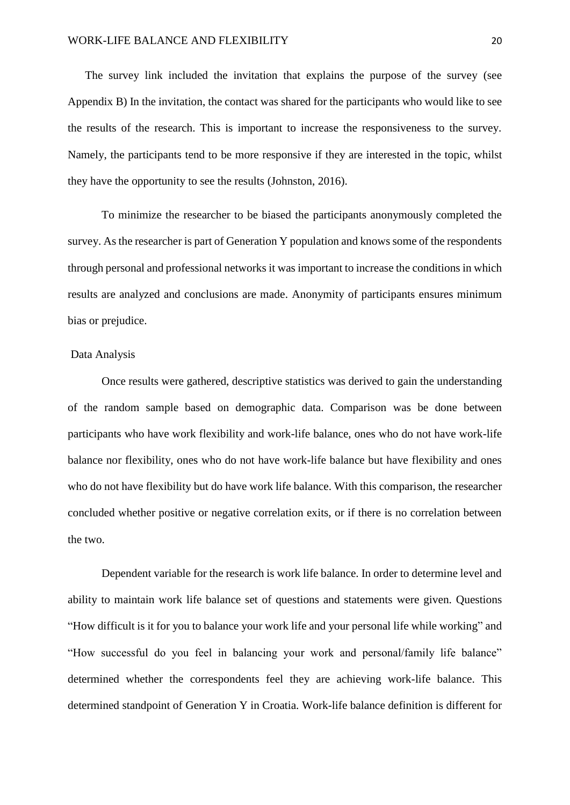The survey link included the invitation that explains the purpose of the survey (see Appendix B) In the invitation, the contact was shared for the participants who would like to see the results of the research. This is important to increase the responsiveness to the survey. Namely, the participants tend to be more responsive if they are interested in the topic, whilst they have the opportunity to see the results (Johnston, 2016).

To minimize the researcher to be biased the participants anonymously completed the survey. As the researcher is part of Generation Y population and knows some of the respondents through personal and professional networks it was important to increase the conditions in which results are analyzed and conclusions are made. Anonymity of participants ensures minimum bias or prejudice.

#### <span id="page-20-0"></span>Data Analysis

Once results were gathered, descriptive statistics was derived to gain the understanding of the random sample based on demographic data. Comparison was be done between participants who have work flexibility and work-life balance, ones who do not have work-life balance nor flexibility, ones who do not have work-life balance but have flexibility and ones who do not have flexibility but do have work life balance. With this comparison, the researcher concluded whether positive or negative correlation exits, or if there is no correlation between the two.

Dependent variable for the research is work life balance. In order to determine level and ability to maintain work life balance set of questions and statements were given. Questions "How difficult is it for you to balance your work life and your personal life while working" and "How successful do you feel in balancing your work and personal/family life balance" determined whether the correspondents feel they are achieving work-life balance. This determined standpoint of Generation Y in Croatia. Work-life balance definition is different for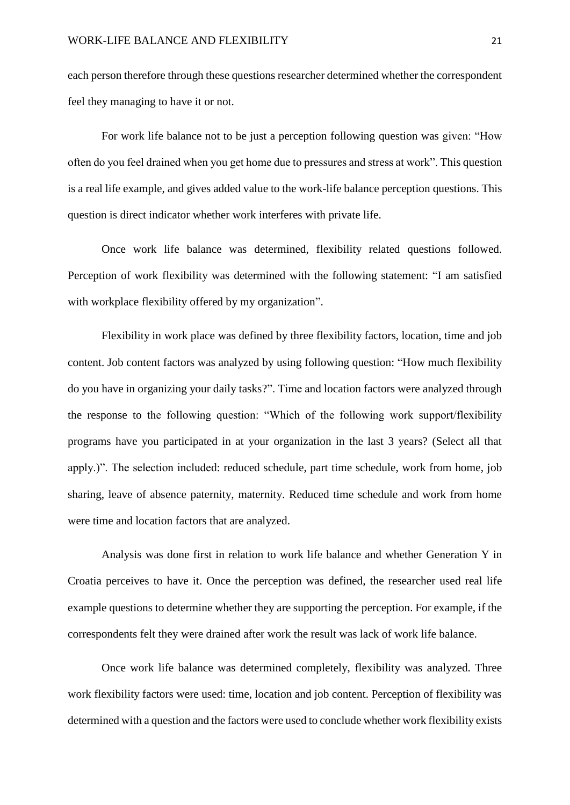each person therefore through these questions researcher determined whether the correspondent feel they managing to have it or not.

For work life balance not to be just a perception following question was given: "How often do you feel drained when you get home due to pressures and stress at work". This question is a real life example, and gives added value to the work-life balance perception questions. This question is direct indicator whether work interferes with private life.

Once work life balance was determined, flexibility related questions followed. Perception of work flexibility was determined with the following statement: "I am satisfied with workplace flexibility offered by my organization".

Flexibility in work place was defined by three flexibility factors, location, time and job content. Job content factors was analyzed by using following question: "How much flexibility do you have in organizing your daily tasks?". Time and location factors were analyzed through the response to the following question: "Which of the following work support/flexibility programs have you participated in at your organization in the last 3 years? (Select all that apply.)". The selection included: reduced schedule, part time schedule, work from home, job sharing, leave of absence paternity, maternity. Reduced time schedule and work from home were time and location factors that are analyzed.

Analysis was done first in relation to work life balance and whether Generation Y in Croatia perceives to have it. Once the perception was defined, the researcher used real life example questions to determine whether they are supporting the perception. For example, if the correspondents felt they were drained after work the result was lack of work life balance.

Once work life balance was determined completely, flexibility was analyzed. Three work flexibility factors were used: time, location and job content. Perception of flexibility was determined with a question and the factors were used to conclude whether work flexibility exists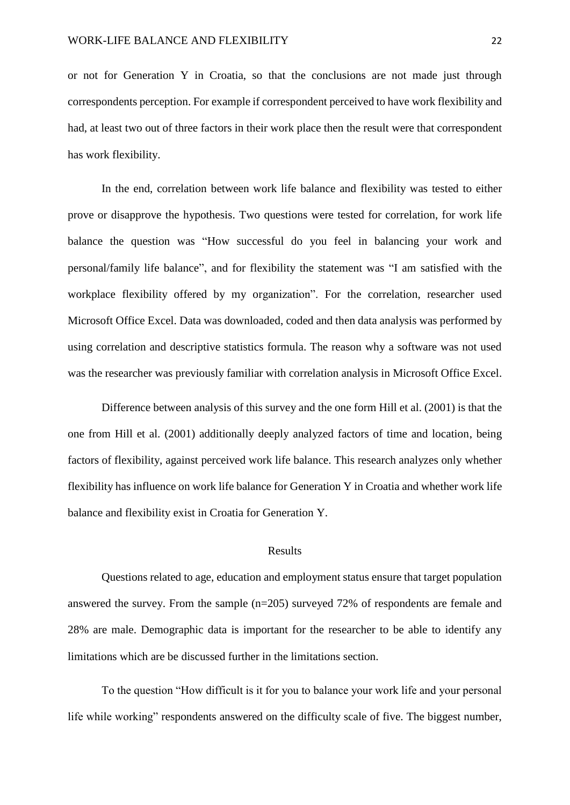or not for Generation Y in Croatia, so that the conclusions are not made just through correspondents perception. For example if correspondent perceived to have work flexibility and had, at least two out of three factors in their work place then the result were that correspondent has work flexibility.

In the end, correlation between work life balance and flexibility was tested to either prove or disapprove the hypothesis. Two questions were tested for correlation, for work life balance the question was "How successful do you feel in balancing your work and personal/family life balance", and for flexibility the statement was "I am satisfied with the workplace flexibility offered by my organization". For the correlation, researcher used Microsoft Office Excel. Data was downloaded, coded and then data analysis was performed by using correlation and descriptive statistics formula. The reason why a software was not used was the researcher was previously familiar with correlation analysis in Microsoft Office Excel.

Difference between analysis of this survey and the one form Hill et al. (2001) is that the one from Hill et al. (2001) additionally deeply analyzed factors of time and location, being factors of flexibility, against perceived work life balance. This research analyzes only whether flexibility has influence on work life balance for Generation Y in Croatia and whether work life balance and flexibility exist in Croatia for Generation Y.

#### Results

<span id="page-22-0"></span>Questions related to age, education and employment status ensure that target population answered the survey. From the sample (n=205) surveyed 72% of respondents are female and 28% are male. Demographic data is important for the researcher to be able to identify any limitations which are be discussed further in the limitations section.

To the question "How difficult is it for you to balance your work life and your personal life while working" respondents answered on the difficulty scale of five. The biggest number,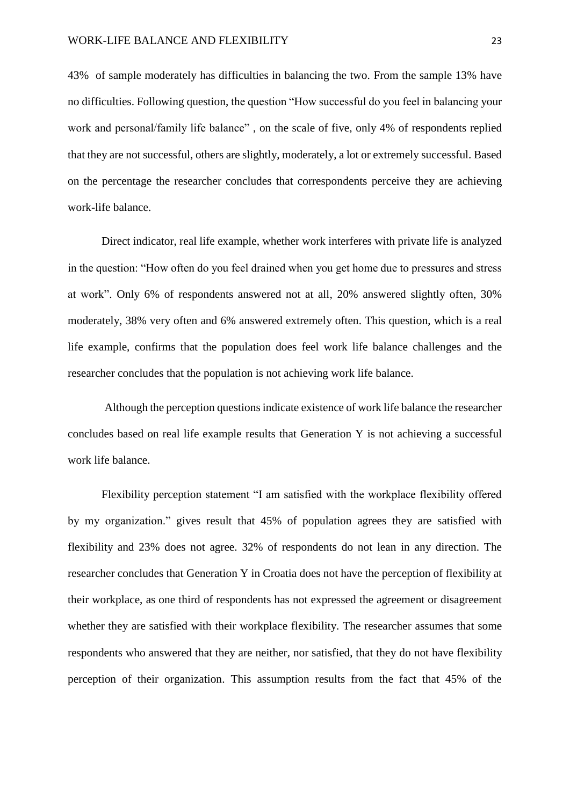43% of sample moderately has difficulties in balancing the two. From the sample 13% have no difficulties. Following question, the question "How successful do you feel in balancing your work and personal/family life balance" , on the scale of five, only 4% of respondents replied that they are not successful, others are slightly, moderately, a lot or extremely successful. Based on the percentage the researcher concludes that correspondents perceive they are achieving work-life balance.

Direct indicator, real life example, whether work interferes with private life is analyzed in the question: "How often do you feel drained when you get home due to pressures and stress at work". Only 6% of respondents answered not at all, 20% answered slightly often, 30% moderately, 38% very often and 6% answered extremely often. This question, which is a real life example, confirms that the population does feel work life balance challenges and the researcher concludes that the population is not achieving work life balance.

Although the perception questions indicate existence of work life balance the researcher concludes based on real life example results that Generation Y is not achieving a successful work life balance.

Flexibility perception statement "I am satisfied with the workplace flexibility offered by my organization." gives result that 45% of population agrees they are satisfied with flexibility and 23% does not agree. 32% of respondents do not lean in any direction. The researcher concludes that Generation Y in Croatia does not have the perception of flexibility at their workplace, as one third of respondents has not expressed the agreement or disagreement whether they are satisfied with their workplace flexibility. The researcher assumes that some respondents who answered that they are neither, nor satisfied, that they do not have flexibility perception of their organization. This assumption results from the fact that 45% of the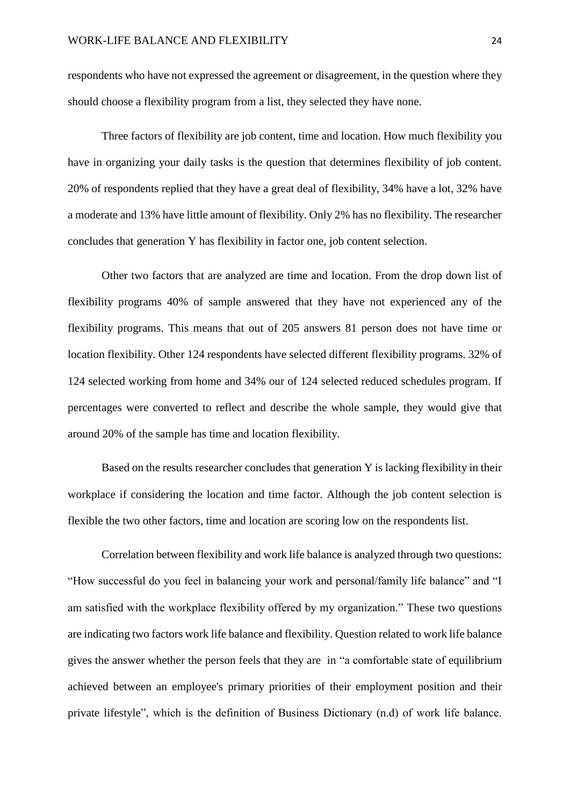respondents who have not expressed the agreement or disagreement, in the question where they should choose a flexibility program from a list, they selected they have none.

Three factors of flexibility are job content, time and location. How much flexibility you have in organizing your daily tasks is the question that determines flexibility of job content. 20% of respondents replied that they have a great deal of flexibility, 34% have a lot, 32% have a moderate and 13% have little amount of flexibility. Only 2% has no flexibility. The researcher concludes that generation Y has flexibility in factor one, job content selection.

Other two factors that are analyzed are time and location. From the drop down list of flexibility programs 40% of sample answered that they have not experienced any of the flexibility programs. This means that out of 205 answers 81 person does not have time or location flexibility. Other 124 respondents have selected different flexibility programs. 32% of 124 selected working from home and 34% our of 124 selected reduced schedules program. If percentages were converted to reflect and describe the whole sample, they would give that around 20% of the sample has time and location flexibility.

Based on the results researcher concludes that generation Y is lacking flexibility in their workplace if considering the location and time factor. Although the job content selection is flexible the two other factors, time and location are scoring low on the respondents list.

Correlation between flexibility and work life balance is analyzed through two questions: "How successful do you feel in balancing your work and personal/family life balance" and "I am satisfied with the workplace flexibility offered by my organization." These two questions are indicating two factors work life balance and flexibility. Question related to work life balance gives the answer whether the person feels that they are in "a comfortable state of [equilibrium](http://www.businessdictionary.com/definition/equilibrium.html) achieved between an [employee's](http://www.businessdictionary.com/definition/employee.html) [primary](http://www.businessdictionary.com/definition/primary.html) [priorities](http://www.businessdictionary.com/definition/priority.html) of their [employment](http://www.businessdictionary.com/definition/employment.html) [position](http://www.businessdictionary.com/definition/position.html) and their private [lifestyle"](http://www.businessdictionary.com/definition/lifestyle.html), which is the definition of Business Dictionary (n.d) of work life balance.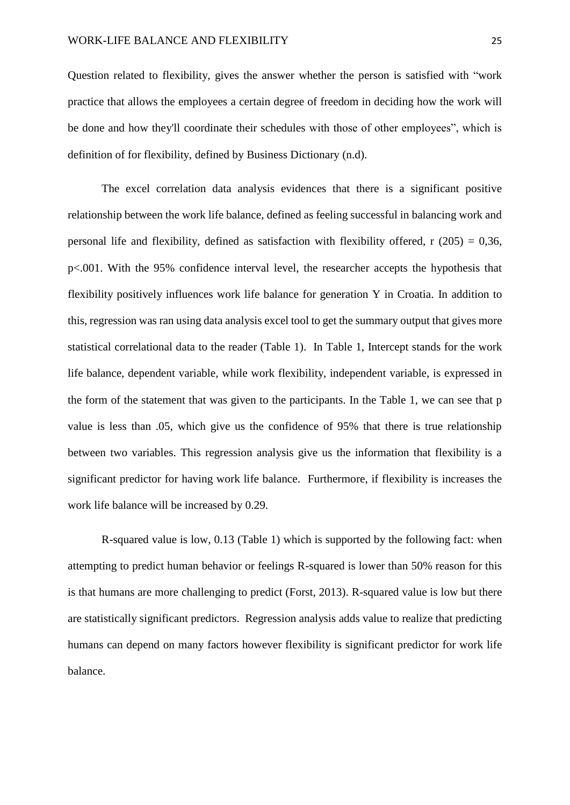Question related to flexibility, gives the answer whether the person is satisfied with ["work](http://www.businessdictionary.com/definition/work.html) [practice](http://www.businessdictionary.com/definition/practice.html) that allows the [employees](http://www.businessdictionary.com/definition/employee.html) a certain [degree](http://www.businessdictionary.com/definition/degree.html) of [freedom](http://www.businessdictionary.com/definition/freedom.html) in deciding how the work will be done and how they'll coordinate their [schedules](http://www.businessdictionary.com/definition/schedule.html) with those of other employees", which is definition of for flexibility, defined by Business Dictionary (n.d).

The excel correlation data analysis evidences that there is a significant positive relationship between the work life balance, defined as feeling successful in balancing work and personal life and flexibility, defined as satisfaction with flexibility offered, r  $(205) = 0.36$ , p<.001. With the 95% confidence interval level, the researcher accepts the hypothesis that flexibility positively influences work life balance for generation Y in Croatia. In addition to this, regression was ran using data analysis excel tool to get the summary output that gives more statistical correlational data to the reader (Table 1). In Table 1, Intercept stands for the work life balance, dependent variable, while work flexibility, independent variable, is expressed in the form of the statement that was given to the participants. In the Table 1, we can see that p value is less than .05, which give us the confidence of 95% that there is true relationship between two variables. This regression analysis give us the information that flexibility is a significant predictor for having work life balance. Furthermore, if flexibility is increases the work life balance will be increased by 0.29.

R-squared value is low, 0.13 (Table 1) which is supported by the following fact: when attempting to predict human behavior or feelings R-squared is lower than 50% reason for this is that humans are more challenging to predict (Forst, 2013). R-squared value is low but there are statistically significant predictors. Regression analysis adds value to realize that predicting humans can depend on many factors however flexibility is significant predictor for work life balance.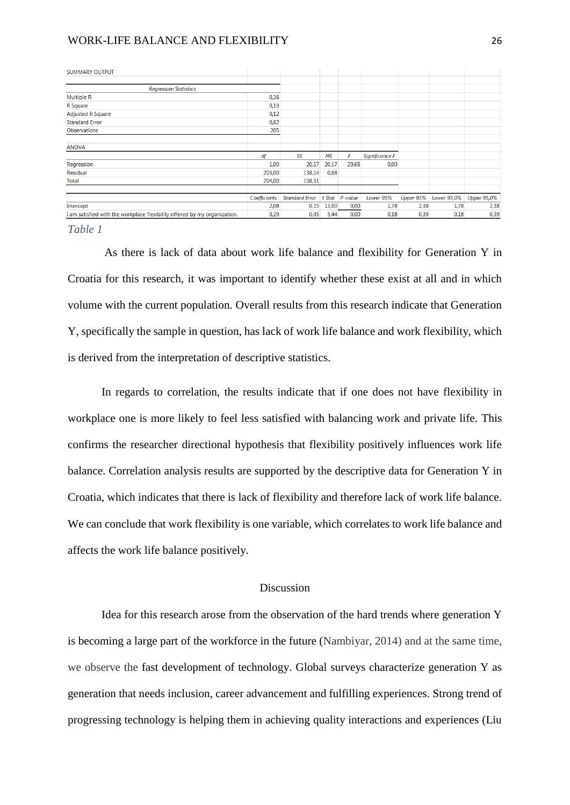#### WORK-LIFE BALANCE AND FLEXIBILITY 26

| <b>SUMMARY OUTPUT</b>                                                     |              |                       |       |                |                |           |             |                    |
|---------------------------------------------------------------------------|--------------|-----------------------|-------|----------------|----------------|-----------|-------------|--------------------|
| <b>Regression Statistics</b>                                              |              |                       |       |                |                |           |             |                    |
|                                                                           |              |                       |       |                |                |           |             |                    |
| <b>Multiple R</b>                                                         | 0,36         |                       |       |                |                |           |             |                    |
| R Square                                                                  | 0,13         |                       |       |                |                |           |             |                    |
| <b>Adjusted R Square</b>                                                  | 0,12         |                       |       |                |                |           |             |                    |
| <b>Standard Error</b>                                                     | 0,82         |                       |       |                |                |           |             |                    |
| Observations                                                              | 205          |                       |       |                |                |           |             |                    |
|                                                                           |              |                       |       |                |                |           |             |                    |
| <b>ANOVA</b>                                                              |              |                       |       |                |                |           |             |                    |
|                                                                           | df           | SS                    | МS    | F              | Significance F |           |             |                    |
| Regression                                                                | 1,00         | 20,17                 | 20,17 | 29,65          | 0,00           |           |             |                    |
| Residual                                                                  | 203,00       | 138,14                | 0,68  |                |                |           |             |                    |
| <b>Total</b>                                                              | 204,00       | 158,31                |       |                |                |           |             |                    |
|                                                                           |              |                       |       |                |                |           |             |                    |
|                                                                           | Coefficients | <b>Standard Error</b> |       | t Stat P-value | Lower 95%      | Upper 95% | Lower 95,0% | <b>Upper 95,0%</b> |
| Intercept                                                                 | 2,08         | 0,15                  | 13,60 | 0,00           | 1,78           | 2,38      | 1,78        | 2,38               |
| I am satisfied with the workplace flexibility offered by my organization. | 0,29         | 0,05                  | 5,44  | 0,00           | 0,18           | 0,39      | 0,18        | 0,39               |

*Table 1*

As there is lack of data about work life balance and flexibility for Generation Y in Croatia for this research, it was important to identify whether these exist at all and in which volume with the current population. Overall results from this research indicate that Generation Y, specifically the sample in question, has lack of work life balance and work flexibility, which is derived from the interpretation of descriptive statistics.

In regards to correlation, the results indicate that if one does not have flexibility in workplace one is more likely to feel less satisfied with balancing work and private life. This confirms the researcher directional hypothesis that flexibility positively influences work life balance. Correlation analysis results are supported by the descriptive data for Generation Y in Croatia, which indicates that there is lack of flexibility and therefore lack of work life balance. We can conclude that work flexibility is one variable, which correlates to work life balance and affects the work life balance positively.

#### **Discussion**

<span id="page-26-0"></span>Idea for this research arose from the observation of the hard trends where generation Y is becoming a large part of the workforce in the future (Nambiyar, 2014) and at the same time, we observe the fast development of technology. Global surveys characterize generation Y as generation that needs inclusion, career advancement and fulfilling experiences. Strong trend of progressing technology is helping them in achieving quality interactions and experiences (Liu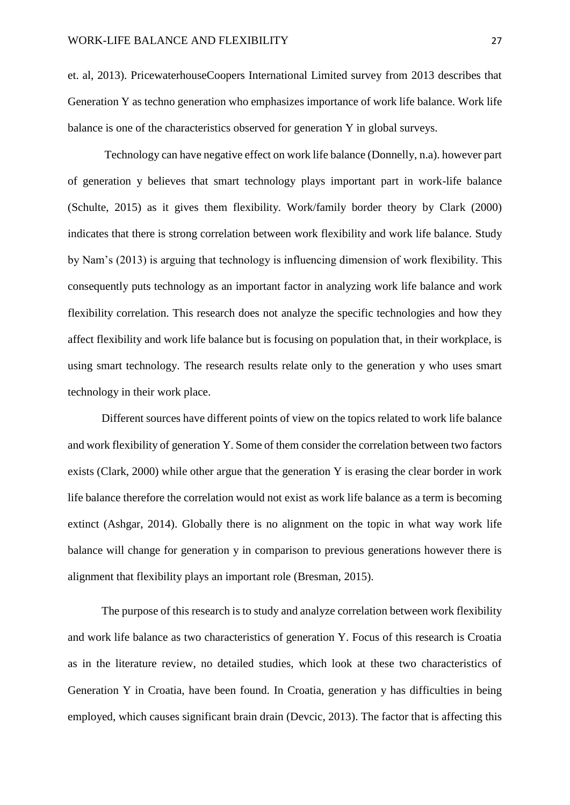et. al, 2013). PricewaterhouseCoopers International Limited survey from 2013 describes that Generation Y as techno generation who emphasizes importance of work life balance. Work life balance is one of the characteristics observed for generation Y in global surveys.

Technology can have negative effect on work life balance (Donnelly, n.a). however part of generation y believes that smart technology plays important part in work-life balance (Schulte, 2015) as it gives them flexibility. Work/family border theory by Clark (2000) indicates that there is strong correlation between work flexibility and work life balance. Study by Nam's (2013) is arguing that technology is influencing dimension of work flexibility. This consequently puts technology as an important factor in analyzing work life balance and work flexibility correlation. This research does not analyze the specific technologies and how they affect flexibility and work life balance but is focusing on population that, in their workplace, is using smart technology. The research results relate only to the generation y who uses smart technology in their work place.

Different sources have different points of view on the topics related to work life balance and work flexibility of generation Y. Some of them consider the correlation between two factors exists (Clark, 2000) while other argue that the generation Y is erasing the clear border in work life balance therefore the correlation would not exist as work life balance as a term is becoming extinct (Ashgar, 2014). Globally there is no alignment on the topic in what way work life balance will change for generation y in comparison to previous generations however there is alignment that flexibility plays an important role (Bresman, 2015).

The purpose of this research is to study and analyze correlation between work flexibility and work life balance as two characteristics of generation Y. Focus of this research is Croatia as in the literature review, no detailed studies, which look at these two characteristics of Generation Y in Croatia, have been found. In Croatia, generation y has difficulties in being employed, which causes significant brain drain (Devcic, 2013). The factor that is affecting this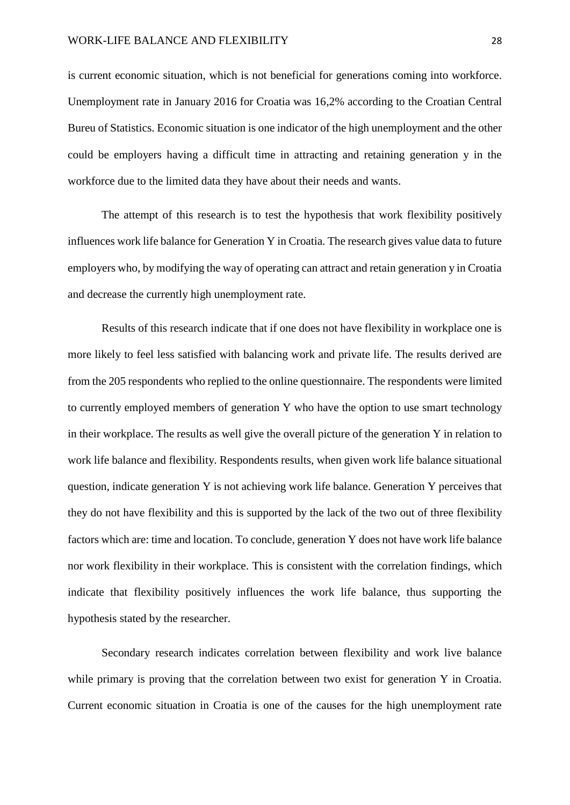is current economic situation, which is not beneficial for generations coming into workforce. Unemployment rate in January 2016 for Croatia was 16,2% according to the Croatian Central Bureu of Statistics. Economic situation is one indicator of the high unemployment and the other could be employers having a difficult time in attracting and retaining generation y in the workforce due to the limited data they have about their needs and wants.

The attempt of this research is to test the hypothesis that work flexibility positively influences work life balance for Generation Y in Croatia. The research gives value data to future employers who, by modifying the way of operating can attract and retain generation y in Croatia and decrease the currently high unemployment rate.

Results of this research indicate that if one does not have flexibility in workplace one is more likely to feel less satisfied with balancing work and private life. The results derived are from the 205 respondents who replied to the online questionnaire. The respondents were limited to currently employed members of generation Y who have the option to use smart technology in their workplace. The results as well give the overall picture of the generation Y in relation to work life balance and flexibility. Respondents results, when given work life balance situational question, indicate generation Y is not achieving work life balance. Generation Y perceives that they do not have flexibility and this is supported by the lack of the two out of three flexibility factors which are: time and location. To conclude, generation Y does not have work life balance nor work flexibility in their workplace. This is consistent with the correlation findings, which indicate that flexibility positively influences the work life balance, thus supporting the hypothesis stated by the researcher.

Secondary research indicates correlation between flexibility and work live balance while primary is proving that the correlation between two exist for generation Y in Croatia. Current economic situation in Croatia is one of the causes for the high unemployment rate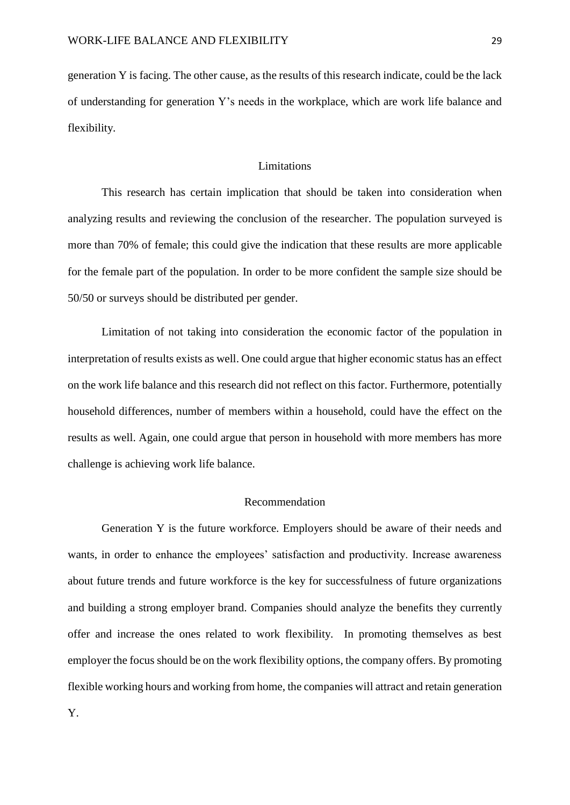generation Y is facing. The other cause, as the results of this research indicate, could be the lack of understanding for generation Y's needs in the workplace, which are work life balance and flexibility.

#### Limitations

<span id="page-29-0"></span>This research has certain implication that should be taken into consideration when analyzing results and reviewing the conclusion of the researcher. The population surveyed is more than 70% of female; this could give the indication that these results are more applicable for the female part of the population. In order to be more confident the sample size should be 50/50 or surveys should be distributed per gender.

Limitation of not taking into consideration the economic factor of the population in interpretation of results exists as well. One could argue that higher economic status has an effect on the work life balance and this research did not reflect on this factor. Furthermore, potentially household differences, number of members within a household, could have the effect on the results as well. Again, one could argue that person in household with more members has more challenge is achieving work life balance.

#### Recommendation

<span id="page-29-1"></span>Generation Y is the future workforce. Employers should be aware of their needs and wants, in order to enhance the employees' satisfaction and productivity. Increase awareness about future trends and future workforce is the key for successfulness of future organizations and building a strong employer brand. Companies should analyze the benefits they currently offer and increase the ones related to work flexibility. In promoting themselves as best employer the focus should be on the work flexibility options, the company offers. By promoting flexible working hours and working from home, the companies will attract and retain generation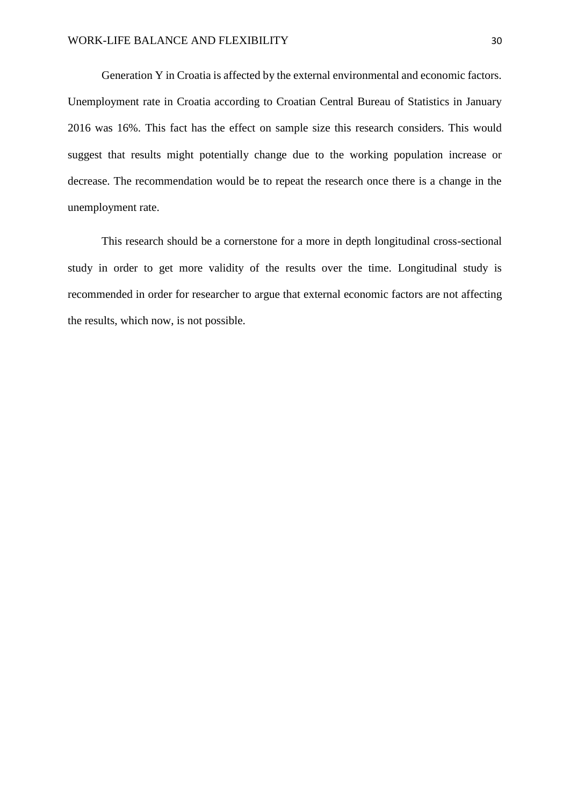Generation Y in Croatia is affected by the external environmental and economic factors. Unemployment rate in Croatia according to Croatian Central Bureau of Statistics in January 2016 was 16%. This fact has the effect on sample size this research considers. This would suggest that results might potentially change due to the working population increase or decrease. The recommendation would be to repeat the research once there is a change in the unemployment rate.

This research should be a cornerstone for a more in depth longitudinal cross-sectional study in order to get more validity of the results over the time. Longitudinal study is recommended in order for researcher to argue that external economic factors are not affecting the results, which now, is not possible.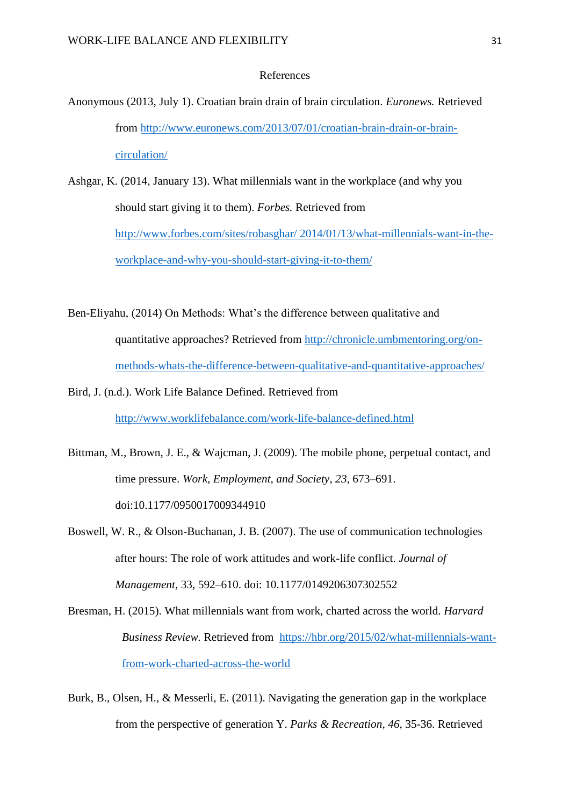#### References

- <span id="page-31-0"></span>Anonymous (2013, July 1). Croatian brain drain of brain circulation. *Euronews.* Retrieved from [http://www.euronews.com/2013/07/01/croatian-brain-drain-or-brain](http://www.euronews.com/2013/07/01/croatian-brain-drain-or-brain-circulation/)[circulation/](http://www.euronews.com/2013/07/01/croatian-brain-drain-or-brain-circulation/)
- Ashgar, K. (2014, January 13). What millennials want in the workplace (and why you should start giving it to them). *Forbes.* Retrieved from [http://www.forbes.com/sites/robasghar/ 2014/01/13/what-millennials-want-in-the](http://www.forbes.com/sites/robasghar/%202014/01/13/what-millennials-want-in-the-workplace-and-why-you-should-start-giving-it-to-them/)[workplace-and-why-you-should-start-giving-it-to-them/](http://www.forbes.com/sites/robasghar/%202014/01/13/what-millennials-want-in-the-workplace-and-why-you-should-start-giving-it-to-them/)
- Ben-Eliyahu, (2014) On Methods: What's the difference between qualitative and quantitative approaches? Retrieved from [http://chronicle.umbmentoring.org/on](http://chronicle.umbmentoring.org/on-methods-whats-the-difference-between-qualitative-and-quantitative-approaches/)[methods-whats-the-difference-between-qualitative-and-quantitative-approaches/](http://chronicle.umbmentoring.org/on-methods-whats-the-difference-between-qualitative-and-quantitative-approaches/)
- Bird, J. (n.d.). Work Life Balance Defined. Retrieved from <http://www.worklifebalance.com/work-life-balance-defined.html>
- Bittman, M., Brown, J. E., & Wajcman, J. (2009). The mobile phone, perpetual contact, and time pressure. *Work, Employment, and Society*, *23*, 673–691. doi:10.1177/0950017009344910
- Boswell, W. R., & Olson-Buchanan, J. B. (2007). The use of communication technologies after hours: The role of work attitudes and work-life conflict. *Journal of Management*, 33, 592–610. doi: 10.1177/0149206307302552
- Bresman, H. (2015). What millennials want from work, charted across the world. *Harvard Business Review.* Retrieved from [https://hbr.org/2015/02/what-millennials-want](https://hbr.org/2015/02/what-millennials-want-from-work-charted-across-the-world)[from-work-charted-across-the-world](https://hbr.org/2015/02/what-millennials-want-from-work-charted-across-the-world)
- Burk, B., Olsen, H., & Messerli, E. (2011). Navigating the generation gap in the workplace from the perspective of generation Y. *Parks & Recreation*, *46*, 35-36. Retrieved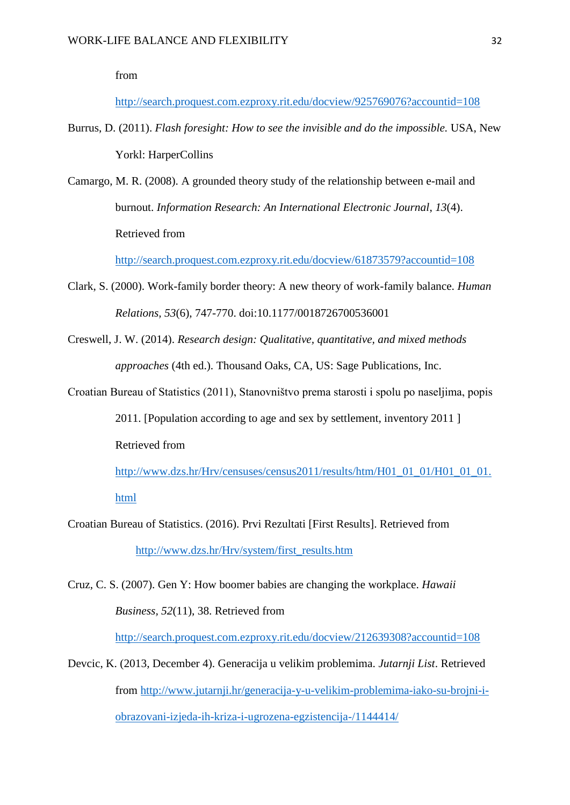from

<http://search.proquest.com.ezproxy.rit.edu/docview/925769076?accountid=108>

- Burrus, D. (2011). *Flash foresight: How to see the invisible and do the impossible.* USA, New Yorkl: HarperCollins
- Camargo, M. R. (2008). A grounded theory study of the relationship between e-mail and burnout. *Information Research: An International Electronic Journal*, *13*(4). Retrieved from

<http://search.proquest.com.ezproxy.rit.edu/docview/61873579?accountid=108>

- Clark, S. (2000). Work-family border theory: A new theory of work-family balance. *Human Relations, 53*(6), 747-770. doi:10.1177/0018726700536001
- Creswell, J. W. (2014). *Research design: Qualitative, quantitative, and mixed methods approaches* (4th ed.). Thousand Oaks, CA, US: Sage Publications, Inc.
- Croatian Bureau of Statistics (2011), Stanovništvo prema starosti i spolu po naseljima, popis 2011. [Population according to age and sex by settlement, inventory 2011 ] Retrieved from

[http://www.dzs.hr/Hrv/censuses/census2011/results/htm/H01\\_01\\_01/H01\\_01\\_01.](http://www.dzs.hr/Hrv/censuses/census2011/results/htm/H01_01_01/H01_01_01.html) [html](http://www.dzs.hr/Hrv/censuses/census2011/results/htm/H01_01_01/H01_01_01.html)

- Croatian Bureau of Statistics. (2016). Prvi Rezultati [First Results]. Retrieved from [http://www.dzs.hr/Hrv/system/first\\_results.htm](http://www.dzs.hr/Hrv/system/first_results.htm)
- Cruz, C. S. (2007). Gen Y: How boomer babies are changing the workplace. *Hawaii Business, 52*(11), 38. Retrieved from

<http://search.proquest.com.ezproxy.rit.edu/docview/212639308?accountid=108>

Devcic, K. (2013, December 4). Generacija u velikim problemima. *Jutarnji List*. Retrieved from [http://www.jutarnji.hr/generacija-y-u-velikim-problemima-iako-su-brojni-i](http://www.jutarnji.hr/generacija-y-u-velikim-problemima-iako-su-brojni-i-obrazovani-izjeda-ih-kriza-i-ugrozena-egzistencija-/1144414/)[obrazovani-izjeda-ih-kriza-i-ugrozena-egzistencija-/1144414/](http://www.jutarnji.hr/generacija-y-u-velikim-problemima-iako-su-brojni-i-obrazovani-izjeda-ih-kriza-i-ugrozena-egzistencija-/1144414/)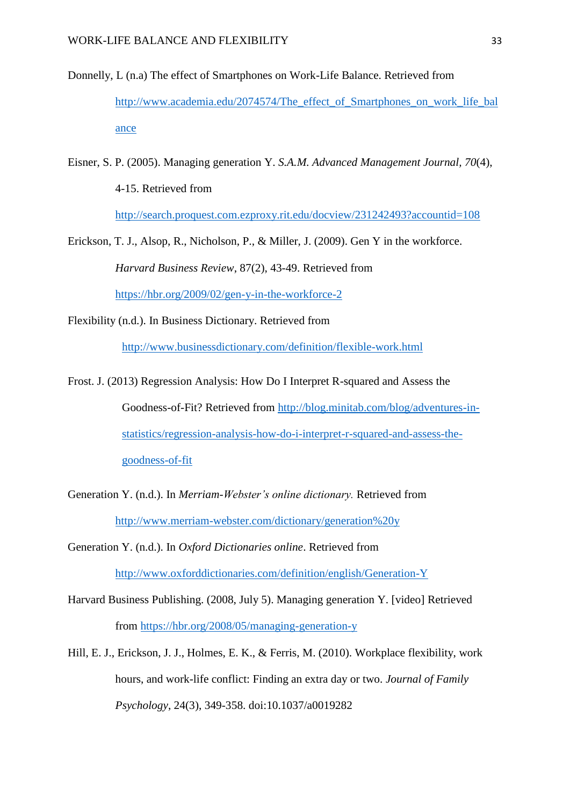- Donnelly, L (n.a) The effect of Smartphones on Work-Life Balance. Retrieved from http://www.academia.edu/2074574/The effect of Smartphones on work life bal [ance](http://www.academia.edu/2074574/The_effect_of_Smartphones_on_work_life_balance)
- Eisner, S. P. (2005). Managing generation Y. *S.A.M. Advanced Management Journal, 70*(4), 4-15. Retrieved from

<http://search.proquest.com.ezproxy.rit.edu/docview/231242493?accountid=108>

- Erickson, T. J., Alsop, R., Nicholson, P., & Miller, J. (2009). Gen Y in the workforce. *Harvard Business Review*, 87(2), 43-49. Retrieved from <https://hbr.org/2009/02/gen-y-in-the-workforce-2>
- Flexibility (n.d.). In Business Dictionary. Retrieved from

<http://www.businessdictionary.com/definition/flexible-work.html>

Frost. J. (2013) Regression Analysis: How Do I Interpret R-squared and Assess the Goodness-of-Fit? Retrieved from [http://blog.minitab.com/blog/adventures-in](http://blog.minitab.com/blog/adventures-in-statistics/regression-analysis-how-do-i-interpret-r-squared-and-assess-the-goodness-of-fit)[statistics/regression-analysis-how-do-i-interpret-r-squared-and-assess-the](http://blog.minitab.com/blog/adventures-in-statistics/regression-analysis-how-do-i-interpret-r-squared-and-assess-the-goodness-of-fit)[goodness-of-fit](http://blog.minitab.com/blog/adventures-in-statistics/regression-analysis-how-do-i-interpret-r-squared-and-assess-the-goodness-of-fit)

Generation Y. (n.d.). In *Merriam-Webster's online dictionary.* Retrieved from <http://www.merriam-webster.com/dictionary/generation%20y>

Generation Y. (n.d.). In *Oxford Dictionaries online*. Retrieved from <http://www.oxforddictionaries.com/definition/english/Generation-Y>

- Harvard Business Publishing. (2008, July 5). Managing generation Y. [video] Retrieved from<https://hbr.org/2008/05/managing-generation-y>
- Hill, E. J., Erickson, J. J., Holmes, E. K., & Ferris, M. (2010). Workplace flexibility, work hours, and work-life conflict: Finding an extra day or two. *Journal of Family Psychology*, 24(3), 349-358. doi:10.1037/a0019282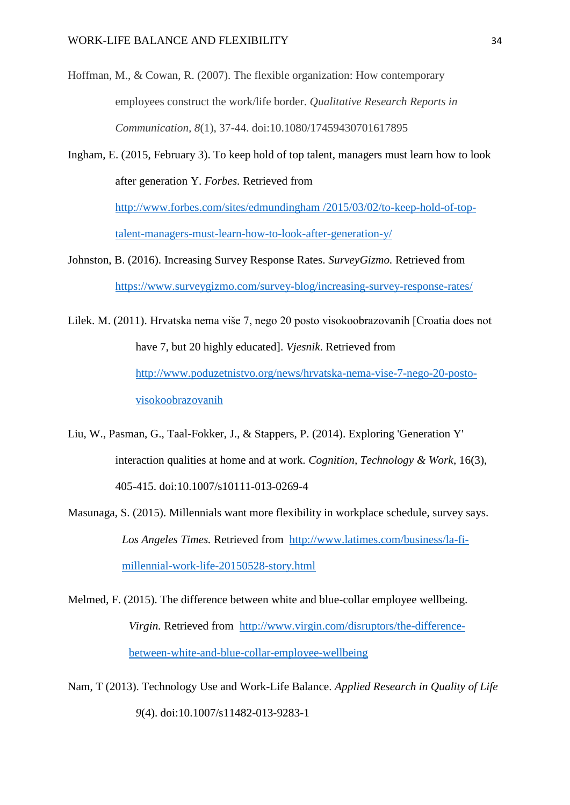- Hoffman, M., & Cowan, R. (2007). The flexible organization: How contemporary employees construct the work/life border. *Qualitative Research Reports in Communication, 8*(1), 37-44. doi:10.1080/17459430701617895
- Ingham, E. (2015, February 3). To keep hold of top talent, managers must learn how to look after generation Y. *Forbes.* Retrieved from [http://www.forbes.com/sites/edmundingham /2015/03/02/to-keep-hold-of-top-](http://www.forbes.com/sites/edmundingham%20/2015/03/02/to-keep-hold-of-top-talent-managers-must-learn-how-to-look-after-generation-y/)

[talent-managers-must-learn-how-to-look-after-generation-y/](http://www.forbes.com/sites/edmundingham%20/2015/03/02/to-keep-hold-of-top-talent-managers-must-learn-how-to-look-after-generation-y/)

Johnston, B. (2016). Increasing Survey Response Rates. *SurveyGizmo.* Retrieved from <https://www.surveygizmo.com/survey-blog/increasing-survey-response-rates/>

Lilek. M. (2011). Hrvatska nema više 7, nego 20 posto visokoobrazovanih [Croatia does not have 7, but 20 highly educated]. *Vjesnik*. Retrieved from [http://www.poduzetnistvo.org/news/hrvatska-nema-vise-7-nego-20-posto](http://www.poduzetnistvo.org/news/hrvatska-nema-vise-7-nego-20-posto-visokoobrazovanih)[visokoobrazovanih](http://www.poduzetnistvo.org/news/hrvatska-nema-vise-7-nego-20-posto-visokoobrazovanih)

- Liu, W., Pasman, G., Taal-Fokker, J., & Stappers, P. (2014). Exploring 'Generation Y' interaction qualities at home and at work. *Cognition, Technology & Work*, 16(3), 405-415. doi:10.1007/s10111-013-0269-4
- Masunaga, S. (2015). Millennials want more flexibility in workplace schedule, survey says. *Los Angeles Times.* Retrieved from [http://www.latimes.com/business/la-fi](http://www.latimes.com/business/la-fi-millennial-work-life-20150528-story.html)[millennial-work-life-20150528-story.html](http://www.latimes.com/business/la-fi-millennial-work-life-20150528-story.html)
- Melmed, F. (2015). The difference between white and blue-collar employee wellbeing. *Virgin.* Retrieved from [http://www.virgin.com/disruptors/the-difference](http://www.virgin.com/disruptors/the-difference-between-white-and-blue-collar-employee-wellbeing)[between-white-and-blue-collar-employee-wellbeing](http://www.virgin.com/disruptors/the-difference-between-white-and-blue-collar-employee-wellbeing)
- Nam, T (2013). Technology Use and Work-Life Balance. *Applied Research in Quality of Life 9*(4). doi:10.1007/s11482-013-9283-1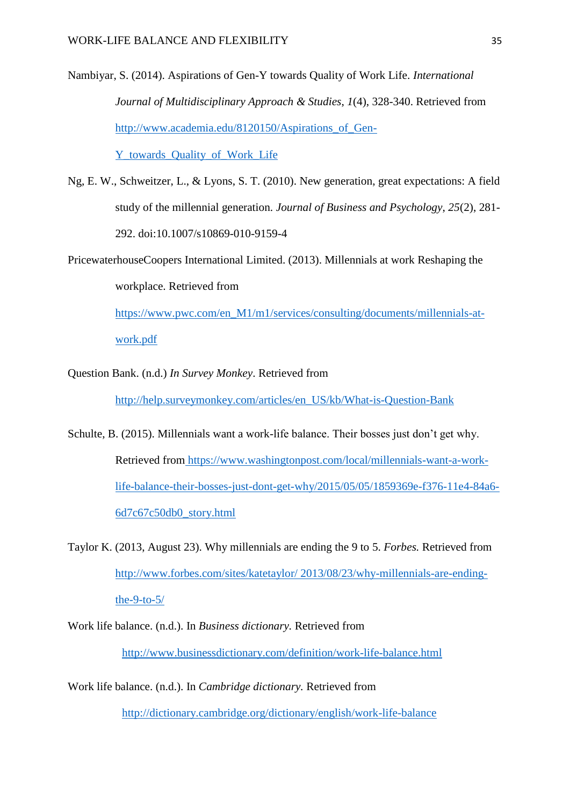Nambiyar, S. (2014). Aspirations of Gen-Y towards Quality of Work Life. *International Journal of Multidisciplinary Approach & Studies*, *1*(4), 328-340. Retrieved from [http://www.academia.edu/8120150/Aspirations\\_of\\_Gen-](http://www.academia.edu/8120150/Aspirations_of_Gen-Y_towards_Quality_of_Work_Life)

[Y\\_towards\\_Quality\\_of\\_Work\\_Life](http://www.academia.edu/8120150/Aspirations_of_Gen-Y_towards_Quality_of_Work_Life)

- Ng, E. W., Schweitzer, L., & Lyons, S. T. (2010). New generation, great expectations: A field study of the millennial generation. *Journal of Business and Psychology*, *25*(2), 281- 292. doi:10.1007/s10869-010-9159-4
- PricewaterhouseCoopers International Limited. (2013). Millennials at work Reshaping the workplace. Retrieved from

[https://www.pwc.com/en\\_M1/m1/services/consulting/documents/millennials-at](https://www.pwc.com/en_M1/m1/services/consulting/documents/millennials-at-work.pdf)[work.pdf](https://www.pwc.com/en_M1/m1/services/consulting/documents/millennials-at-work.pdf)

Question Bank. (n.d.) *In Survey Monkey*. Retrieved from

[http://help.surveymonkey.com/articles/en\\_US/kb/What-is-Question-Bank](http://help.surveymonkey.com/articles/en_US/kb/What-is-Question-Bank)

- Schulte, B. (2015). Millennials want a work-life balance. Their bosses just don't get why. Retrieved from https://www.washingtonpost.com/local/millennials-want-a-worklife-balance-their-bosses-just-dont-get-why/2015/05/05/1859369e-f376-11e4-84a6- 6d7c67c50db0\_story.html
- Taylor K. (2013, August 23). Why millennials are ending the 9 to 5. *Forbes.* Retrieved from [http://www.forbes.com/sites/katetaylor/ 2013/08/23/why-millennials-are-ending](http://www.forbes.com/sites/katetaylor/%202013/08/23/why-millennials-are-ending-the-9-to-5/)the-9-to- $5/$
- Work life balance. (n.d.). In *Business dictionary.* Retrieved from <http://www.businessdictionary.com/definition/work-life-balance.html>
- Work life balance. (n.d.). In *Cambridge dictionary.* Retrieved from <http://dictionary.cambridge.org/dictionary/english/work-life-balance>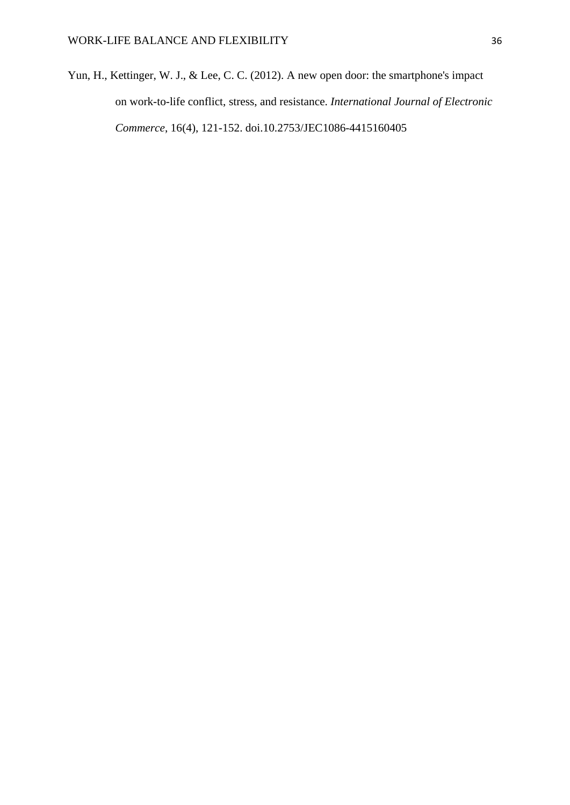Yun, H., Kettinger, W. J., & Lee, C. C. (2012). A new open door: the smartphone's impact on work-to-life conflict, stress, and resistance. *International Journal of Electronic Commerce*, 16(4), 121-152. doi.10.2753/JEC1086-4415160405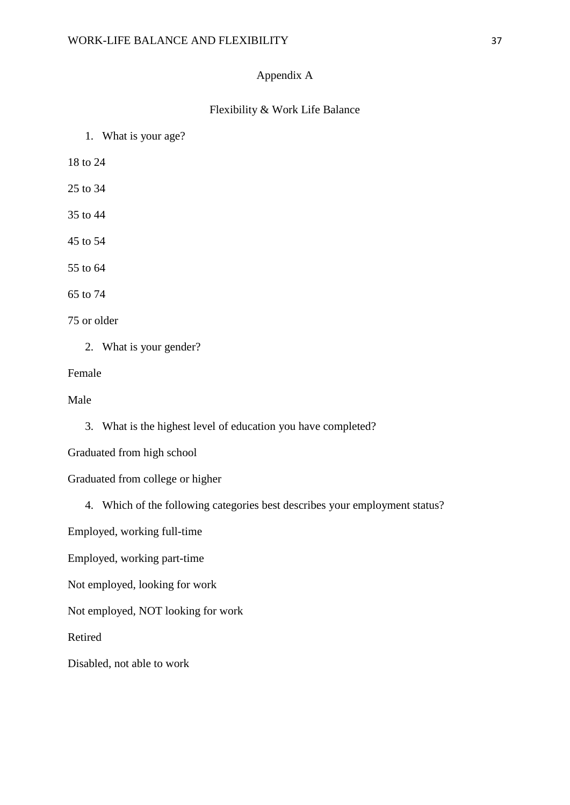#### Appendix A

#### Flexibility & Work Life Balance

1. What is your age?

18 to 24

25 to 34

- 35 to 44
- 45 to 54

55 to 64

65 to 74

75 or older

2. What is your gender?

Female

Male

3. What is the highest level of education you have completed?

Graduated from high school

Graduated from college or higher

4. Which of the following categories best describes your employment status?

Employed, working full-time

Employed, working part-time

Not employed, looking for work

Not employed, NOT looking for work

Retired

Disabled, not able to work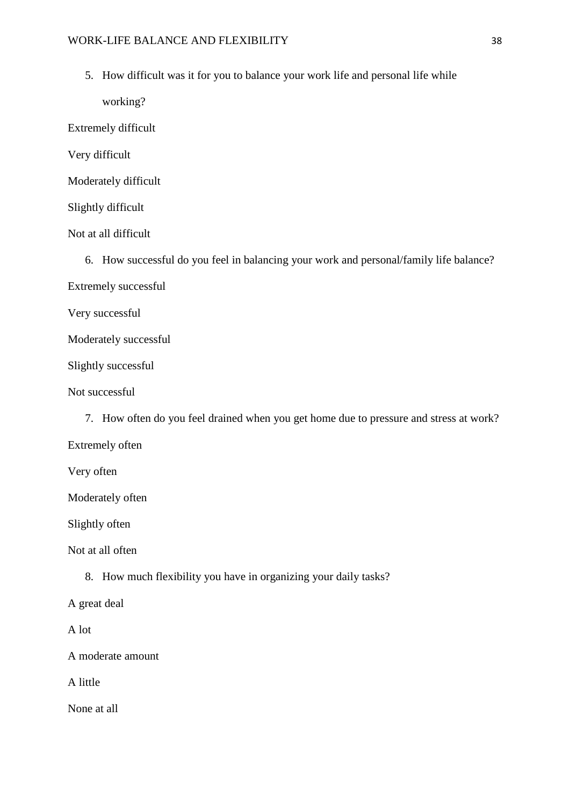5. How difficult was it for you to balance your work life and personal life while

working?

Extremely difficult

Very difficult

Moderately difficult

Slightly difficult

Not at all difficult

6. How successful do you feel in balancing your work and personal/family life balance?

Extremely successful

Very successful

Moderately successful

Slightly successful

Not successful

7. How often do you feel drained when you get home due to pressure and stress at work?

Extremely often

Very often

Moderately often

Slightly often

Not at all often

8. How much flexibility you have in organizing your daily tasks?

A great deal

A lot

A moderate amount

A little

None at all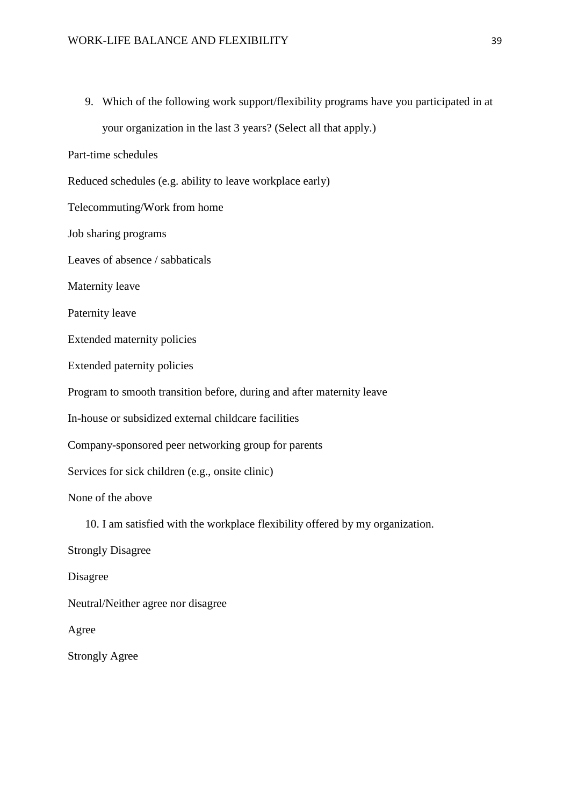9. Which of the following work support/flexibility programs have you participated in at your organization in the last 3 years? (Select all that apply.)

Part-time schedules

Reduced schedules (e.g. ability to leave workplace early)

Telecommuting/Work from home

Job sharing programs

Leaves of absence / sabbaticals

Maternity leave

Paternity leave

Extended maternity policies

Extended paternity policies

Program to smooth transition before, during and after maternity leave

In-house or subsidized external childcare facilities

Company-sponsored peer networking group for parents

Services for sick children (e.g., onsite clinic)

None of the above

10. I am satisfied with the workplace flexibility offered by my organization.

Strongly Disagree

Disagree

Neutral/Neither agree nor disagree

Agree

Strongly Agree